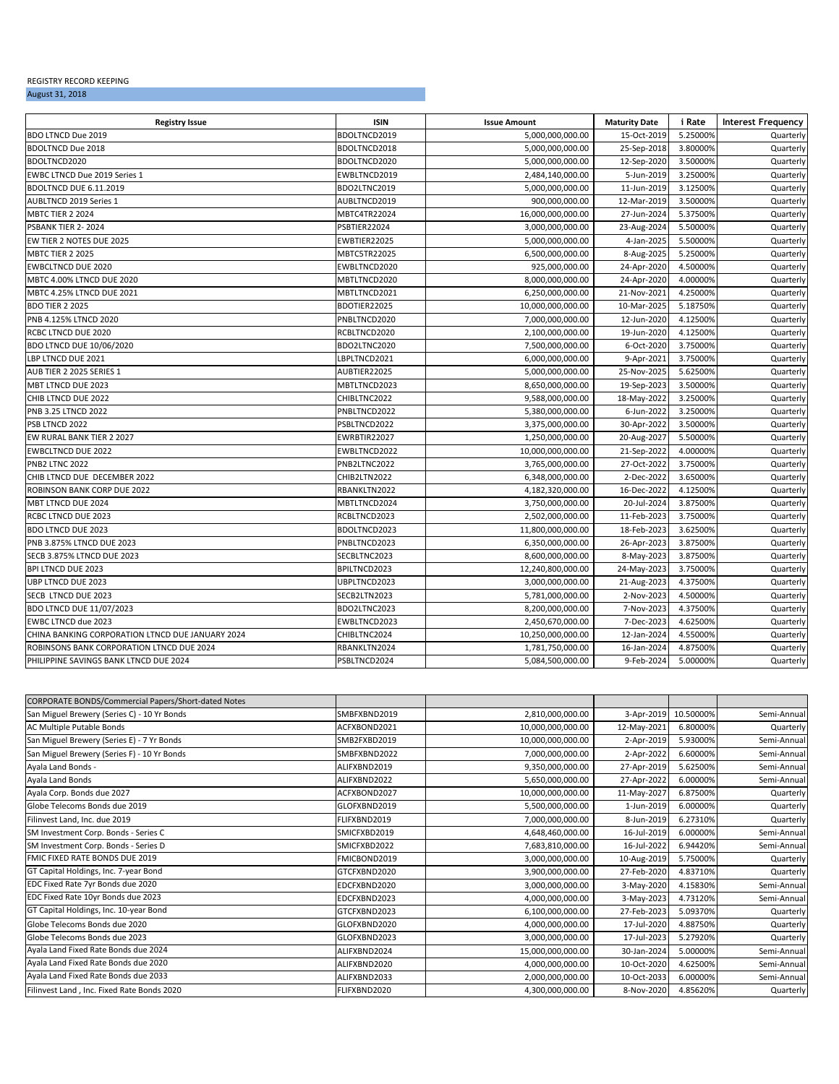# REGISTRY RECORD KEEPING

# August 31, 2018

| <b>Registry Issue</b>                            | <b>ISIN</b>  | <b>Issue Amount</b>             | <b>Maturity Date</b> | i Rate   | <b>Interest Frequency</b> |
|--------------------------------------------------|--------------|---------------------------------|----------------------|----------|---------------------------|
| BDO LTNCD Due 2019                               | BDOLTNCD2019 | 5,000,000,000.00                | 15-Oct-2019          | 5.25000% | Quarterly                 |
| <b>BDOLTNCD Due 2018</b>                         | BDOLTNCD2018 | 25-Sep-2018<br>5,000,000,000.00 |                      | 3.80000% | Quarterly                 |
| BDOLTNCD2020                                     | BDOLTNCD2020 | 5,000,000,000.00<br>12-Sep-2020 |                      | 3.50000% | Quarterly                 |
| EWBC LTNCD Due 2019 Series 1                     | EWBLTNCD2019 | 2,484,140,000.00                | 5-Jun-2019           | 3.25000% | Quarterly                 |
| BDOLTNCD DUE 6.11.2019                           | BDO2LTNC2019 | 5,000,000,000.00                | 11-Jun-2019          | 3.12500% | Quarterly                 |
| AUBLTNCD 2019 Series 1                           | AUBLTNCD2019 | 900,000,000.00                  | 12-Mar-2019          | 3.50000% | Quarterly                 |
| <b>MBTC TIER 2 2024</b>                          | MBTC4TR22024 | 16,000,000,000.00               | 27-Jun-2024          | 5.37500% | Quarterly                 |
| PSBANK TIER 2-2024                               | PSBTIER22024 | 3,000,000,000.00                | 23-Aug-2024          | 5.50000% | Quarterly                 |
| EW TIER 2 NOTES DUE 2025                         | EWBTIER22025 | 5,000,000,000.00                | 4-Jan-2025           | 5.50000% | Quarterly                 |
| <b>MBTC TIER 2 2025</b>                          | MBTC5TR22025 | 6,500,000,000.00                | 8-Aug-2025           | 5.25000% | Quarterly                 |
| <b>EWBCLTNCD DUE 2020</b>                        | EWBLTNCD2020 | 925,000,000.00                  | 24-Apr-2020          | 4.50000% | Quarterly                 |
| MBTC 4.00% LTNCD DUE 2020                        | MBTLTNCD2020 | 8,000,000,000.00                | 24-Apr-2020          | 4.00000% | Quarterly                 |
| MBTC 4.25% LTNCD DUE 2021                        | MBTLTNCD2021 | 6,250,000,000.00                | 21-Nov-2021          | 4.25000% | Quarterly                 |
| <b>BDO TIER 2 2025</b>                           | BDOTIER22025 | 10,000,000,000.00               | 10-Mar-2025          | 5.18750% | Quarterly                 |
| PNB 4.125% LTNCD 2020                            | PNBLTNCD2020 | 7,000,000,000.00                | 12-Jun-2020          | 4.12500% | Quarterly                 |
| RCBC LTNCD DUE 2020                              | RCBLTNCD2020 | 2,100,000,000.00                | 19-Jun-2020          | 4.12500% | Quarterly                 |
| BDO LTNCD DUE 10/06/2020                         | BDO2LTNC2020 | 7,500,000,000.00                | 6-Oct-2020           | 3.75000% | Quarterly                 |
| LBP LTNCD DUE 2021                               | LBPLTNCD2021 | 6,000,000,000.00                | 9-Apr-2021           | 3.75000% | Quarterly                 |
| AUB TIER 2 2025 SERIES 1                         | AUBTIER22025 | 5,000,000,000.00                | 25-Nov-2025          | 5.62500% | Quarterly                 |
| MBT LTNCD DUE 2023                               | MBTLTNCD2023 | 8,650,000,000.00                | 19-Sep-2023          | 3.50000% | Quarterly                 |
| CHIB LTNCD DUE 2022                              | CHIBLTNC2022 | 9,588,000,000.00                | 18-May-2022          | 3.25000% | Quarterly                 |
| PNB 3.25 LTNCD 2022                              | PNBLTNCD2022 | 5,380,000,000.00                | 6-Jun-2022           | 3.25000% | Quarterly                 |
| PSB LTNCD 2022                                   | PSBLTNCD2022 | 3,375,000,000.00                | 30-Apr-2022          | 3.50000% | Quarterly                 |
| EW RURAL BANK TIER 2 2027                        | EWRBTIR22027 | 1,250,000,000.00                | 20-Aug-2027          | 5.50000% | Quarterly                 |
| <b>EWBCLTNCD DUE 2022</b>                        | EWBLTNCD2022 | 10,000,000,000.00               | 21-Sep-2022          | 4.00000% | Quarterly                 |
| <b>PNB2 LTNC 2022</b>                            | PNB2LTNC2022 | 3,765,000,000.00                | 27-Oct-2022          | 3.75000% | Quarterly                 |
| CHIB LTNCD DUE DECEMBER 2022                     | CHIB2LTN2022 | 6,348,000,000.00                | 2-Dec-2022           | 3.65000% | Quarterly                 |
| ROBINSON BANK CORP DUE 2022                      | RBANKLTN2022 | 4,182,320,000.00                | 16-Dec-2022          | 4.12500% | Quarterly                 |
| MBT LTNCD DUE 2024                               | MBTLTNCD2024 | 3,750,000,000.00                | 20-Jul-2024          | 3.87500% | Quarterly                 |
| RCBC LTNCD DUE 2023                              | RCBLTNCD2023 | 2,502,000,000.00                | 11-Feb-2023          | 3.75000% | Quarterly                 |
| <b>BDO LTNCD DUE 2023</b>                        | BDOLTNCD2023 | 11,800,000,000.00               | 18-Feb-2023          | 3.62500% | Quarterly                 |
| PNB 3.875% LTNCD DUE 2023                        | PNBLTNCD2023 | 6,350,000,000.00                | 26-Apr-2023          | 3.87500% | Quarterly                 |
| SECB 3.875% LTNCD DUE 2023                       | SECBLTNC2023 | 8,600,000,000.00                | 8-May-2023           | 3.87500% | Quarterly                 |
| <b>BPI LTNCD DUE 2023</b>                        | BPILTNCD2023 | 12,240,800,000.00               | 24-May-2023          | 3.75000% | Quarterly                 |
| UBP LTNCD DUE 2023                               | UBPLTNCD2023 | 3,000,000,000.00                | 21-Aug-2023          | 4.37500% | Quarterly                 |
| SECB LTNCD DUE 2023                              | SECB2LTN2023 | 5,781,000,000.00                | 2-Nov-2023           | 4.50000% | Quarterly                 |
| BDO LTNCD DUE 11/07/2023                         | BDO2LTNC2023 | 8,200,000,000.00                | 7-Nov-2023           | 4.37500% | Quarterly                 |
| EWBC LTNCD due 2023                              | EWBLTNCD2023 | 2,450,670,000.00                | 7-Dec-2023           | 4.62500% | Quarterly                 |
| CHINA BANKING CORPORATION LTNCD DUE JANUARY 2024 | CHIBLTNC2024 | 10,250,000,000.00               | 12-Jan-2024          | 4.55000% | Quarterly                 |
| ROBINSONS BANK CORPORATION LTNCD DUE 2024        | RBANKLTN2024 | 1,781,750,000.00                | 16-Jan-2024          | 4.87500% | Quarterly                 |
| PHILIPPINE SAVINGS BANK LTNCD DUE 2024           | PSBLTNCD2024 | 5,084,500,000.00                | 9-Feb-2024           | 5.00000% | Quarterly                 |

| CORPORATE BONDS/Commercial Papers/Short-dated Notes |              |                   |             |           |             |
|-----------------------------------------------------|--------------|-------------------|-------------|-----------|-------------|
| San Miguel Brewery (Series C) - 10 Yr Bonds         | SMBFXBND2019 | 2,810,000,000.00  | 3-Apr-2019  | 10.50000% | Semi-Annual |
| AC Multiple Putable Bonds                           | ACFXBOND2021 | 10,000,000,000.00 | 12-May-2021 | 6.80000%  | Quarterly   |
| San Miguel Brewery (Series E) - 7 Yr Bonds          | SMB2FXBD2019 | 10,000,000,000.00 | 2-Apr-2019  | 5.93000%  | Semi-Annual |
| San Miguel Brewery (Series F) - 10 Yr Bonds         | SMBFXBND2022 | 7,000,000,000.00  | 2-Apr-2022  | 6.60000%  | Semi-Annual |
| Ayala Land Bonds -                                  | ALIFXBND2019 | 9,350,000,000.00  | 27-Apr-2019 | 5.62500%  | Semi-Annual |
| Ayala Land Bonds                                    | ALIFXBND2022 | 5,650,000,000.00  | 27-Apr-2022 | 6.00000%  | Semi-Annual |
| Ayala Corp. Bonds due 2027                          | ACFXBOND2027 | 10,000,000,000.00 | 11-May-2027 | 6.87500%  | Quarterly   |
| Globe Telecoms Bonds due 2019                       | GLOFXBND2019 | 5,500,000,000.00  | 1-Jun-2019  | 6.00000%  | Quarterly   |
| Filinvest Land, Inc. due 2019                       | FLIFXBND2019 | 7,000,000,000.00  | 8-Jun-2019  | 6.27310%  | Quarterly   |
| SM Investment Corp. Bonds - Series C                | SMICFXBD2019 | 4,648,460,000.00  | 16-Jul-2019 | 6.00000%  | Semi-Annual |
| SM Investment Corp. Bonds - Series D                | SMICFXBD2022 | 7,683,810,000.00  | 16-Jul-2022 | 6.94420%  | Semi-Annual |
| FMIC FIXED RATE BONDS DUE 2019                      | FMICBOND2019 | 3,000,000,000.00  | 10-Aug-2019 | 5.75000%  | Quarterly   |
| GT Capital Holdings, Inc. 7-year Bond               | GTCFXBND2020 | 3,900,000,000.00  | 27-Feb-2020 | 4.83710%  | Quarterly   |
| EDC Fixed Rate 7yr Bonds due 2020                   | EDCFXBND2020 | 3,000,000,000.00  | 3-May-2020  | 4.15830%  | Semi-Annual |
| EDC Fixed Rate 10yr Bonds due 2023                  | EDCFXBND2023 | 4,000,000,000.00  | 3-May-2023  | 4.73120%  | Semi-Annual |
| GT Capital Holdings, Inc. 10-year Bond              | GTCFXBND2023 | 6,100,000,000.00  | 27-Feb-2023 | 5.09370%  | Quarterly   |
| Globe Telecoms Bonds due 2020                       | GLOFXBND2020 | 4,000,000,000.00  | 17-Jul-2020 | 4.88750%  | Quarterly   |
| Globe Telecoms Bonds due 2023                       | GLOFXBND2023 | 3,000,000,000.00  | 17-Jul-2023 | 5.27920%  | Quarterly   |
| Ayala Land Fixed Rate Bonds due 2024                | ALIFXBND2024 | 15,000,000,000.00 | 30-Jan-2024 | 5.00000%  | Semi-Annual |
| Ayala Land Fixed Rate Bonds due 2020                | ALIFXBND2020 | 4,000,000,000.00  | 10-Oct-2020 | 4.62500%  | Semi-Annual |
| Ayala Land Fixed Rate Bonds due 2033                | ALIFXBND2033 | 2,000,000,000.00  | 10-Oct-2033 | 6.00000%  | Semi-Annual |
| Filinvest Land, Inc. Fixed Rate Bonds 2020          | FLIFXBND2020 | 4,300,000,000.00  | 8-Nov-2020  | 4.85620%  | Quarterly   |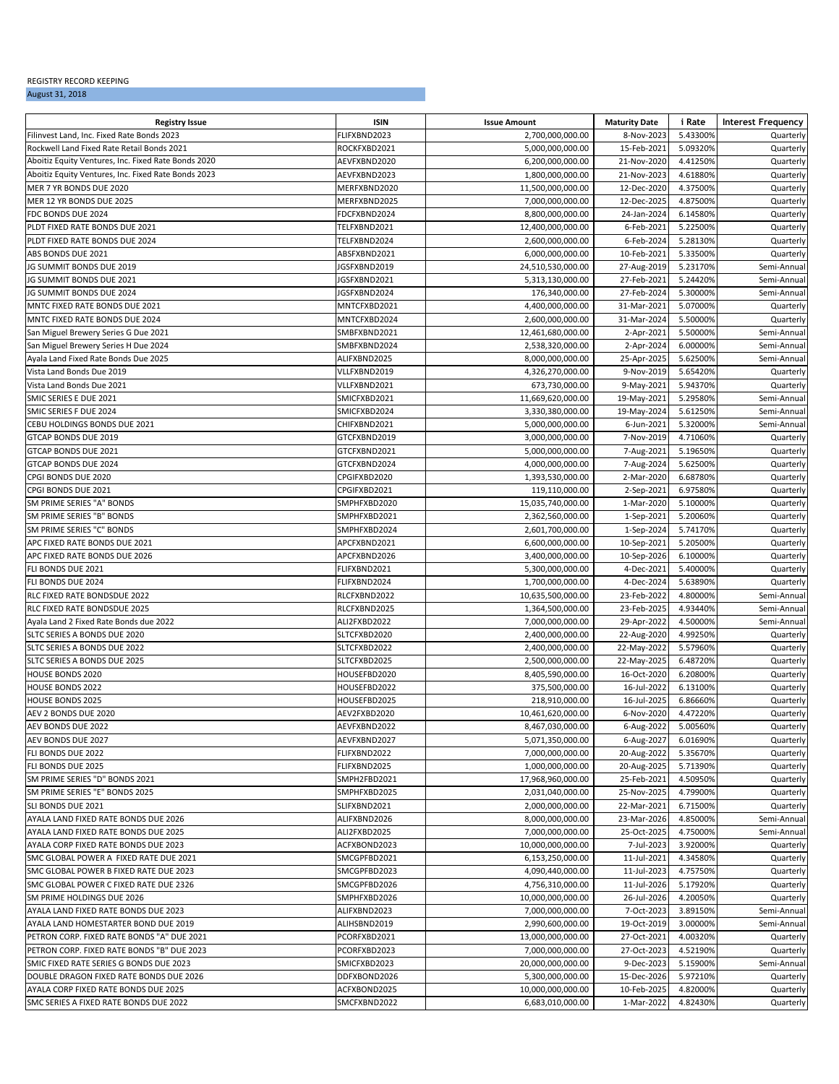#### REGISTRY RECORD KEEPING

## August 31, 2018

| FLIFXBND2023<br>2,700,000,000.00<br>5.43300%<br>8-Nov-2023<br>Quarterly<br>15-Feb-2021<br>5.09320%<br>ROCKFXBD2021<br>5,000,000,000.00<br>Quarterly<br>Aboitiz Equity Ventures, Inc. Fixed Rate Bonds 2020<br>AEVFXBND2020<br>6,200,000,000.00<br>21-Nov-2020<br>4.41250%<br>Quarterly<br>Aboitiz Equity Ventures, Inc. Fixed Rate Bonds 2023<br>4.61880%<br>AEVFXBND2023<br>1,800,000,000.00<br>21-Nov-2023<br>Quarterly<br>MER 7 YR BONDS DUE 2020<br>MERFXBND2020<br>11,500,000,000.00<br>12-Dec-2020<br>4.37500%<br>Quarterly<br>MER 12 YR BONDS DUE 2025<br>12-Dec-2025<br>4.87500%<br>MERFXBND2025<br>7,000,000,000.00<br>Quarterly<br>24-Jan-2024<br>6.14580%<br>FDC BONDS DUE 2024<br>FDCFXBND2024<br>8,800,000,000.00<br>Quarterly<br>PLDT FIXED RATE BONDS DUE 2021<br>TELFXBND2021<br>6-Feb-2021<br>5.22500%<br>12,400,000,000.00<br>Quarterly<br>PLDT FIXED RATE BONDS DUE 2024<br>6-Feb-2024<br>5.28130%<br>TELFXBND2024<br>2,600,000,000.00<br>Quarterly<br>6,000,000,000.00<br>10-Feb-2021<br>5.33500%<br>ABS BONDS DUE 2021<br>ABSFXBND2021<br>Quarterly<br>JG SUMMIT BONDS DUE 2019<br>5.23170%<br>JGSFXBND2019<br>24,510,530,000.00<br>27-Aug-2019<br>Semi-Annual<br>5.24420%<br>JG SUMMIT BONDS DUE 2021<br>JGSFXBND2021<br>5,313,130,000.00<br>27-Feb-2021<br>Semi-Annua<br>JG SUMMIT BONDS DUE 2024<br>JGSFXBND2024<br>176,340,000.00<br>27-Feb-2024<br>5.30000%<br>Semi-Annua<br>5.07000%<br>MNTC FIXED RATE BONDS DUE 2021<br>MNTCFXBD2021<br>4,400,000,000.00<br>31-Mar-2021<br>Quarterly<br>2,600,000,000.00<br>31-Mar-2024<br>5.50000%<br>Quarterly<br>MNTCFXBD2024<br>5.50000%<br>SMBFXBND2021<br>12,461,680,000.00<br>2-Apr-2021<br>Semi-Annual<br>6.00000%<br>San Miguel Brewery Series H Due 2024<br>SMBFXBND2024<br>2,538,320,000.00<br>2-Apr-2024<br>Semi-Annua<br>Ayala Land Fixed Rate Bonds Due 2025<br>ALIFXBND2025<br>8,000,000,000.00<br>25-Apr-2025<br>5.62500%<br>Semi-Annua<br>5.65420%<br>Vista Land Bonds Due 2019<br>VLLFXBND2019<br>4,326,270,000.00<br>9-Nov-2019<br>Quarterly<br>Vista Land Bonds Due 2021<br>VLLFXBND2021<br>673,730,000.00<br>9-May-2021<br>5.94370%<br>Quarterly<br>19-May-2021<br>5.29580%<br>SMIC SERIES E DUE 2021<br>SMICFXBD2021<br>11,669,620,000.00<br>Semi-Annual<br>5.61250%<br>SMIC SERIES F DUE 2024<br>SMICFXBD2024<br>3,330,380,000.00<br>19-May-2024<br>Semi-Annua<br>CEBU HOLDINGS BONDS DUE 2021<br>CHIFXBND2021<br>6-Jun-2021<br>5.32000%<br>Semi-Annua<br>5,000,000,000.00<br>7-Nov-2019<br>4.71060%<br>GTCAP BONDS DUE 2019<br>GTCFXBND2019<br>3,000,000,000.00<br>Quarterly<br>7-Aug-2021<br>5.19650%<br>GTCAP BONDS DUE 2021<br>GTCFXBND2021<br>5,000,000,000.00<br>Quarterly<br>7-Aug-2024<br>5.62500%<br>GTCAP BONDS DUE 2024<br>GTCFXBND2024<br>4,000,000,000.00<br>Quarterly<br>2-Mar-2020<br>6.68780%<br>CPGI BONDS DUE 2020<br>CPGIFXBD2020<br>1,393,530,000.00<br>Quarterly<br>CPGI BONDS DUE 2021<br>CPGIFXBD2021<br>119,110,000.00<br>2-Sep-2021<br>6.97580%<br>Quarterly<br>5.10000%<br>SM PRIME SERIES "A" BONDS<br>SMPHFXBD2020<br>15,035,740,000.00<br>1-Mar-2020<br>Quarterly<br>SMPHFXBD2021<br>2,362,560,000.00<br>1-Sep-2021<br>5.20060%<br>Quarterly<br>5.74170%<br>SMPHFXBD2024<br>2,601,700,000.00<br>1-Sep-2024<br>Quarterly<br>5.20500%<br>APC FIXED RATE BONDS DUE 2021<br>APCFXBND2021<br>6,600,000,000.00<br>10-Sep-2021<br>Quarterly<br>APC FIXED RATE BONDS DUE 2026<br>APCFXBND2026<br>3,400,000,000.00<br>10-Sep-2026<br>6.10000%<br>Quarterly<br>5.40000%<br>FLI BONDS DUE 2021<br>FLIFXBND2021<br>5,300,000,000.00<br>4-Dec-2021<br>Quarterly<br>FLI BONDS DUE 2024<br>4-Dec-2024<br>5.63890%<br>FLIFXBND2024<br>1,700,000,000.00<br>Quarterly<br>23-Feb-2022<br>4.80000%<br>Semi-Annual<br>RLC FIXED RATE BONDSDUE 2022<br>RLCFXBND2022<br>10,635,500,000.00<br>RLC FIXED RATE BONDSDUE 2025<br>23-Feb-2025<br>4.93440%<br>RLCFXBND2025<br>1,364,500,000.00<br>Semi-Annua<br>Ayala Land 2 Fixed Rate Bonds due 2022<br>ALI2FXBD2022<br>7,000,000,000.00<br>29-Apr-2022<br>4.50000%<br>Semi-Annua<br>SLTC SERIES A BONDS DUE 2020<br>4.99250%<br>SLTCFXBD2020<br>2,400,000,000.00<br>22-Aug-2020<br>Quarterly<br>SLTC SERIES A BONDS DUE 2022<br>22-May-2022<br>5.57960%<br>SLTCFXBD2022<br>2,400,000,000.00<br>Quarterly<br>2,500,000,000.00<br>22-May-2025<br>6.48720%<br>SLTC SERIES A BONDS DUE 2025<br>SLTCFXBD2025<br>Quarterly<br>16-Oct-2020<br>6.20800%<br>HOUSE BONDS 2020<br>HOUSEFBD2020<br>8,405,590,000.00<br>Quarterly<br>HOUSE BONDS 2022<br>HOUSEFBD2022<br>375,500,000.00<br>16-Jul-2022<br>6.13100%<br>Quarterly<br>6.86660%<br><b>HOUSE BONDS 2025</b><br>HOUSEFBD2025<br>218,910,000.00<br>16-Jul-2025<br>Quarterly<br>AEV 2 BONDS DUE 2020<br>AEV2FXBD2020<br>10,461,620,000.00<br>6-Nov-2020<br>4.47220%<br>Quarterly<br>AEVFXBND2022<br>8.467.030.000.00<br>6-Aug-2022<br>5.00560%<br>Quarterly<br>6-Aug-2027<br>6.01690%<br>AEVFXBND2027<br>5,071,350,000.00<br>Quarterly<br>FLIFXBND2022<br>7,000,000,000.00<br>20-Aug-2022<br>5.35670%<br>Quarterly<br>5.71390%<br>FLIFXBND2025<br>1,000,000,000.00<br>20-Aug-2025<br>Quarterly<br>SM PRIME SERIES "D" BONDS 2021<br>17,968,960,000.00<br>25-Feb-2021<br>4.50950%<br>SMPH2FBD2021<br>Quarterly<br>SM PRIME SERIES "E" BONDS 2025<br>25-Nov-2025<br>4.79900%<br>SMPHFXBD2025<br>2,031,040,000.00<br>Quarterly<br>SLI BONDS DUE 2021<br>SLIFXBND2021<br>2,000,000,000.00<br>22-Mar-2021<br>6.71500%<br>Quarterly<br>AYALA LAND FIXED RATE BONDS DUE 2026<br>ALIFXBND2026<br>8,000,000,000.00<br>23-Mar-2026<br>4.85000%<br>Semi-Annual<br>4.75000%<br>AYALA LAND FIXED RATE BONDS DUE 2025<br>ALI2FXBD2025<br>7,000,000,000.00<br>25-Oct-2025<br>Semi-Annual<br>10,000,000,000.00<br>7-Jul-2023<br>3.92000%<br>AYALA CORP FIXED RATE BONDS DUE 2023<br>ACFXBOND2023<br>Quarterly<br>4.34580%<br>SMC GLOBAL POWER A FIXED RATE DUE 2021<br>SMCGPFBD2021<br>6,153,250,000.00<br>11-Jul-2021<br>Quarterly<br>SMCGPFBD2023<br>4,090,440,000.00<br>11-Jul-2023<br>4.75750%<br>SMC GLOBAL POWER B FIXED RATE DUE 2023<br>Quarterly<br>SMC GLOBAL POWER C FIXED RATE DUE 2326<br>SMCGPFBD2026<br>4,756,310,000.00<br>11-Jul-2026<br>5.17920%<br>Quarterly<br>SMPHFXBD2026<br>10,000,000,000.00<br>26-Jul-2026<br>4.20050%<br>Quarterly<br>7,000,000,000.00<br>7-Oct-2023<br>3.89150%<br>ALIFXBND2023<br>Semi-Annual<br>3.00000%<br>AYALA LAND HOMESTARTER BOND DUE 2019<br>ALIHSBND2019<br>2,990,600,000.00<br>19-Oct-2019<br>Semi-Annual<br>PCORFXBD2021<br>13,000,000,000.00<br>27-Oct-2021<br>4.00320%<br>Quarterly<br>PCORFXBD2023<br>7,000,000,000.00<br>27-Oct-2023<br>4.52190%<br>Quarterly<br>5.15900%<br>Semi-Annual<br>SMIC FIXED RATE SERIES G BONDS DUE 2023<br>SMICFXBD2023<br>20,000,000,000.00<br>9-Dec-2023<br>5,300,000,000.00<br>15-Dec-2026<br>5.97210%<br>DDFXBOND2026<br>Quarterly<br>AYALA CORP FIXED RATE BONDS DUE 2025<br>4.82000%<br>ACFXBOND2025<br>10,000,000,000.00<br>10-Feb-2025<br>Quarterly | <b>Registry Issue</b>                      | <b>ISIN</b>  | <b>Issue Amount</b> | <b>Maturity Date</b> | i Rate   | <b>Interest Frequency</b> |
|----------------------------------------------------------------------------------------------------------------------------------------------------------------------------------------------------------------------------------------------------------------------------------------------------------------------------------------------------------------------------------------------------------------------------------------------------------------------------------------------------------------------------------------------------------------------------------------------------------------------------------------------------------------------------------------------------------------------------------------------------------------------------------------------------------------------------------------------------------------------------------------------------------------------------------------------------------------------------------------------------------------------------------------------------------------------------------------------------------------------------------------------------------------------------------------------------------------------------------------------------------------------------------------------------------------------------------------------------------------------------------------------------------------------------------------------------------------------------------------------------------------------------------------------------------------------------------------------------------------------------------------------------------------------------------------------------------------------------------------------------------------------------------------------------------------------------------------------------------------------------------------------------------------------------------------------------------------------------------------------------------------------------------------------------------------------------------------------------------------------------------------------------------------------------------------------------------------------------------------------------------------------------------------------------------------------------------------------------------------------------------------------------------------------------------------------------------------------------------------------------------------------------------------------------------------------------------------------------------------------------------------------------------------------------------------------------------------------------------------------------------------------------------------------------------------------------------------------------------------------------------------------------------------------------------------------------------------------------------------------------------------------------------------------------------------------------------------------------------------------------------------------------------------------------------------------------------------------------------------------------------------------------------------------------------------------------------------------------------------------------------------------------------------------------------------------------------------------------------------------------------------------------------------------------------------------------------------------------------------------------------------------------------------------------------------------------------------------------------------------------------------------------------------------------------------------------------------------------------------------------------------------------------------------------------------------------------------------------------------------------------------------------------------------------------------------------------------------------------------------------------------------------------------------------------------------------------------------------------------------------------------------------------------------------------------------------------------------------------------------------------------------------------------------------------------------------------------------------------------------------------------------------------------------------------------------------------------------------------------------------------------------------------------------------------------------------------------------------------------------------------------------------------------------------------------------------------------------------------------------------------------------------------------------------------------------------------------------------------------------------------------------------------------------------------------------------------------------------------------------------------------------------------------------------------------------------------------------------------------------------------------------------------------------------------------------------------------------------------------------------------------------------------------------------------------------------------------------------------------------------------------------------------------------------------------------------------------------------------------------------------------------------------------------------------------------------------------------------------------------------------------------------------------------------------------------------------------------------------------------------------------------------------------------------------------------------------------------------------------------------------------------------------------------------------------------------------------------------------------------------------------------------------------------------------------------------------------------------------------------------------------------------------------------------------------------------------------------------------------------------------------------------------------------------------------------------------------------------------------------------------------------------------------------------------------------------------------------------------------------------------------------------------------------------------------------------------------------------------------------------------------------------------------------------------------------------------------------------------------------------------------------------------------------|--------------------------------------------|--------------|---------------------|----------------------|----------|---------------------------|
|                                                                                                                                                                                                                                                                                                                                                                                                                                                                                                                                                                                                                                                                                                                                                                                                                                                                                                                                                                                                                                                                                                                                                                                                                                                                                                                                                                                                                                                                                                                                                                                                                                                                                                                                                                                                                                                                                                                                                                                                                                                                                                                                                                                                                                                                                                                                                                                                                                                                                                                                                                                                                                                                                                                                                                                                                                                                                                                                                                                                                                                                                                                                                                                                                                                                                                                                                                                                                                                                                                                                                                                                                                                                                                                                                                                                                                                                                                                                                                                                                                                                                                                                                                                                                                                                                                                                                                                                                                                                                                                                                                                                                                                                                                                                                                                                                                                                                                                                                                                                                                                                                                                                                                                                                                                                                                                                                                                                                                                                                                                                                                                                                                                                                                                                                                                                                                                                                                                                                                                                                                                                                                                                                                                                                                                                                                                                                                                                                                                                                                                                                                                                                                                                                                                                                                                                                                                                                                                      | Filinvest Land, Inc. Fixed Rate Bonds 2023 |              |                     |                      |          |                           |
|                                                                                                                                                                                                                                                                                                                                                                                                                                                                                                                                                                                                                                                                                                                                                                                                                                                                                                                                                                                                                                                                                                                                                                                                                                                                                                                                                                                                                                                                                                                                                                                                                                                                                                                                                                                                                                                                                                                                                                                                                                                                                                                                                                                                                                                                                                                                                                                                                                                                                                                                                                                                                                                                                                                                                                                                                                                                                                                                                                                                                                                                                                                                                                                                                                                                                                                                                                                                                                                                                                                                                                                                                                                                                                                                                                                                                                                                                                                                                                                                                                                                                                                                                                                                                                                                                                                                                                                                                                                                                                                                                                                                                                                                                                                                                                                                                                                                                                                                                                                                                                                                                                                                                                                                                                                                                                                                                                                                                                                                                                                                                                                                                                                                                                                                                                                                                                                                                                                                                                                                                                                                                                                                                                                                                                                                                                                                                                                                                                                                                                                                                                                                                                                                                                                                                                                                                                                                                                                      | Rockwell Land Fixed Rate Retail Bonds 2021 |              |                     |                      |          |                           |
|                                                                                                                                                                                                                                                                                                                                                                                                                                                                                                                                                                                                                                                                                                                                                                                                                                                                                                                                                                                                                                                                                                                                                                                                                                                                                                                                                                                                                                                                                                                                                                                                                                                                                                                                                                                                                                                                                                                                                                                                                                                                                                                                                                                                                                                                                                                                                                                                                                                                                                                                                                                                                                                                                                                                                                                                                                                                                                                                                                                                                                                                                                                                                                                                                                                                                                                                                                                                                                                                                                                                                                                                                                                                                                                                                                                                                                                                                                                                                                                                                                                                                                                                                                                                                                                                                                                                                                                                                                                                                                                                                                                                                                                                                                                                                                                                                                                                                                                                                                                                                                                                                                                                                                                                                                                                                                                                                                                                                                                                                                                                                                                                                                                                                                                                                                                                                                                                                                                                                                                                                                                                                                                                                                                                                                                                                                                                                                                                                                                                                                                                                                                                                                                                                                                                                                                                                                                                                                                      |                                            |              |                     |                      |          |                           |
|                                                                                                                                                                                                                                                                                                                                                                                                                                                                                                                                                                                                                                                                                                                                                                                                                                                                                                                                                                                                                                                                                                                                                                                                                                                                                                                                                                                                                                                                                                                                                                                                                                                                                                                                                                                                                                                                                                                                                                                                                                                                                                                                                                                                                                                                                                                                                                                                                                                                                                                                                                                                                                                                                                                                                                                                                                                                                                                                                                                                                                                                                                                                                                                                                                                                                                                                                                                                                                                                                                                                                                                                                                                                                                                                                                                                                                                                                                                                                                                                                                                                                                                                                                                                                                                                                                                                                                                                                                                                                                                                                                                                                                                                                                                                                                                                                                                                                                                                                                                                                                                                                                                                                                                                                                                                                                                                                                                                                                                                                                                                                                                                                                                                                                                                                                                                                                                                                                                                                                                                                                                                                                                                                                                                                                                                                                                                                                                                                                                                                                                                                                                                                                                                                                                                                                                                                                                                                                                      |                                            |              |                     |                      |          |                           |
|                                                                                                                                                                                                                                                                                                                                                                                                                                                                                                                                                                                                                                                                                                                                                                                                                                                                                                                                                                                                                                                                                                                                                                                                                                                                                                                                                                                                                                                                                                                                                                                                                                                                                                                                                                                                                                                                                                                                                                                                                                                                                                                                                                                                                                                                                                                                                                                                                                                                                                                                                                                                                                                                                                                                                                                                                                                                                                                                                                                                                                                                                                                                                                                                                                                                                                                                                                                                                                                                                                                                                                                                                                                                                                                                                                                                                                                                                                                                                                                                                                                                                                                                                                                                                                                                                                                                                                                                                                                                                                                                                                                                                                                                                                                                                                                                                                                                                                                                                                                                                                                                                                                                                                                                                                                                                                                                                                                                                                                                                                                                                                                                                                                                                                                                                                                                                                                                                                                                                                                                                                                                                                                                                                                                                                                                                                                                                                                                                                                                                                                                                                                                                                                                                                                                                                                                                                                                                                                      |                                            |              |                     |                      |          |                           |
|                                                                                                                                                                                                                                                                                                                                                                                                                                                                                                                                                                                                                                                                                                                                                                                                                                                                                                                                                                                                                                                                                                                                                                                                                                                                                                                                                                                                                                                                                                                                                                                                                                                                                                                                                                                                                                                                                                                                                                                                                                                                                                                                                                                                                                                                                                                                                                                                                                                                                                                                                                                                                                                                                                                                                                                                                                                                                                                                                                                                                                                                                                                                                                                                                                                                                                                                                                                                                                                                                                                                                                                                                                                                                                                                                                                                                                                                                                                                                                                                                                                                                                                                                                                                                                                                                                                                                                                                                                                                                                                                                                                                                                                                                                                                                                                                                                                                                                                                                                                                                                                                                                                                                                                                                                                                                                                                                                                                                                                                                                                                                                                                                                                                                                                                                                                                                                                                                                                                                                                                                                                                                                                                                                                                                                                                                                                                                                                                                                                                                                                                                                                                                                                                                                                                                                                                                                                                                                                      |                                            |              |                     |                      |          |                           |
|                                                                                                                                                                                                                                                                                                                                                                                                                                                                                                                                                                                                                                                                                                                                                                                                                                                                                                                                                                                                                                                                                                                                                                                                                                                                                                                                                                                                                                                                                                                                                                                                                                                                                                                                                                                                                                                                                                                                                                                                                                                                                                                                                                                                                                                                                                                                                                                                                                                                                                                                                                                                                                                                                                                                                                                                                                                                                                                                                                                                                                                                                                                                                                                                                                                                                                                                                                                                                                                                                                                                                                                                                                                                                                                                                                                                                                                                                                                                                                                                                                                                                                                                                                                                                                                                                                                                                                                                                                                                                                                                                                                                                                                                                                                                                                                                                                                                                                                                                                                                                                                                                                                                                                                                                                                                                                                                                                                                                                                                                                                                                                                                                                                                                                                                                                                                                                                                                                                                                                                                                                                                                                                                                                                                                                                                                                                                                                                                                                                                                                                                                                                                                                                                                                                                                                                                                                                                                                                      |                                            |              |                     |                      |          |                           |
|                                                                                                                                                                                                                                                                                                                                                                                                                                                                                                                                                                                                                                                                                                                                                                                                                                                                                                                                                                                                                                                                                                                                                                                                                                                                                                                                                                                                                                                                                                                                                                                                                                                                                                                                                                                                                                                                                                                                                                                                                                                                                                                                                                                                                                                                                                                                                                                                                                                                                                                                                                                                                                                                                                                                                                                                                                                                                                                                                                                                                                                                                                                                                                                                                                                                                                                                                                                                                                                                                                                                                                                                                                                                                                                                                                                                                                                                                                                                                                                                                                                                                                                                                                                                                                                                                                                                                                                                                                                                                                                                                                                                                                                                                                                                                                                                                                                                                                                                                                                                                                                                                                                                                                                                                                                                                                                                                                                                                                                                                                                                                                                                                                                                                                                                                                                                                                                                                                                                                                                                                                                                                                                                                                                                                                                                                                                                                                                                                                                                                                                                                                                                                                                                                                                                                                                                                                                                                                                      |                                            |              |                     |                      |          |                           |
|                                                                                                                                                                                                                                                                                                                                                                                                                                                                                                                                                                                                                                                                                                                                                                                                                                                                                                                                                                                                                                                                                                                                                                                                                                                                                                                                                                                                                                                                                                                                                                                                                                                                                                                                                                                                                                                                                                                                                                                                                                                                                                                                                                                                                                                                                                                                                                                                                                                                                                                                                                                                                                                                                                                                                                                                                                                                                                                                                                                                                                                                                                                                                                                                                                                                                                                                                                                                                                                                                                                                                                                                                                                                                                                                                                                                                                                                                                                                                                                                                                                                                                                                                                                                                                                                                                                                                                                                                                                                                                                                                                                                                                                                                                                                                                                                                                                                                                                                                                                                                                                                                                                                                                                                                                                                                                                                                                                                                                                                                                                                                                                                                                                                                                                                                                                                                                                                                                                                                                                                                                                                                                                                                                                                                                                                                                                                                                                                                                                                                                                                                                                                                                                                                                                                                                                                                                                                                                                      |                                            |              |                     |                      |          |                           |
|                                                                                                                                                                                                                                                                                                                                                                                                                                                                                                                                                                                                                                                                                                                                                                                                                                                                                                                                                                                                                                                                                                                                                                                                                                                                                                                                                                                                                                                                                                                                                                                                                                                                                                                                                                                                                                                                                                                                                                                                                                                                                                                                                                                                                                                                                                                                                                                                                                                                                                                                                                                                                                                                                                                                                                                                                                                                                                                                                                                                                                                                                                                                                                                                                                                                                                                                                                                                                                                                                                                                                                                                                                                                                                                                                                                                                                                                                                                                                                                                                                                                                                                                                                                                                                                                                                                                                                                                                                                                                                                                                                                                                                                                                                                                                                                                                                                                                                                                                                                                                                                                                                                                                                                                                                                                                                                                                                                                                                                                                                                                                                                                                                                                                                                                                                                                                                                                                                                                                                                                                                                                                                                                                                                                                                                                                                                                                                                                                                                                                                                                                                                                                                                                                                                                                                                                                                                                                                                      |                                            |              |                     |                      |          |                           |
|                                                                                                                                                                                                                                                                                                                                                                                                                                                                                                                                                                                                                                                                                                                                                                                                                                                                                                                                                                                                                                                                                                                                                                                                                                                                                                                                                                                                                                                                                                                                                                                                                                                                                                                                                                                                                                                                                                                                                                                                                                                                                                                                                                                                                                                                                                                                                                                                                                                                                                                                                                                                                                                                                                                                                                                                                                                                                                                                                                                                                                                                                                                                                                                                                                                                                                                                                                                                                                                                                                                                                                                                                                                                                                                                                                                                                                                                                                                                                                                                                                                                                                                                                                                                                                                                                                                                                                                                                                                                                                                                                                                                                                                                                                                                                                                                                                                                                                                                                                                                                                                                                                                                                                                                                                                                                                                                                                                                                                                                                                                                                                                                                                                                                                                                                                                                                                                                                                                                                                                                                                                                                                                                                                                                                                                                                                                                                                                                                                                                                                                                                                                                                                                                                                                                                                                                                                                                                                                      |                                            |              |                     |                      |          |                           |
|                                                                                                                                                                                                                                                                                                                                                                                                                                                                                                                                                                                                                                                                                                                                                                                                                                                                                                                                                                                                                                                                                                                                                                                                                                                                                                                                                                                                                                                                                                                                                                                                                                                                                                                                                                                                                                                                                                                                                                                                                                                                                                                                                                                                                                                                                                                                                                                                                                                                                                                                                                                                                                                                                                                                                                                                                                                                                                                                                                                                                                                                                                                                                                                                                                                                                                                                                                                                                                                                                                                                                                                                                                                                                                                                                                                                                                                                                                                                                                                                                                                                                                                                                                                                                                                                                                                                                                                                                                                                                                                                                                                                                                                                                                                                                                                                                                                                                                                                                                                                                                                                                                                                                                                                                                                                                                                                                                                                                                                                                                                                                                                                                                                                                                                                                                                                                                                                                                                                                                                                                                                                                                                                                                                                                                                                                                                                                                                                                                                                                                                                                                                                                                                                                                                                                                                                                                                                                                                      |                                            |              |                     |                      |          |                           |
|                                                                                                                                                                                                                                                                                                                                                                                                                                                                                                                                                                                                                                                                                                                                                                                                                                                                                                                                                                                                                                                                                                                                                                                                                                                                                                                                                                                                                                                                                                                                                                                                                                                                                                                                                                                                                                                                                                                                                                                                                                                                                                                                                                                                                                                                                                                                                                                                                                                                                                                                                                                                                                                                                                                                                                                                                                                                                                                                                                                                                                                                                                                                                                                                                                                                                                                                                                                                                                                                                                                                                                                                                                                                                                                                                                                                                                                                                                                                                                                                                                                                                                                                                                                                                                                                                                                                                                                                                                                                                                                                                                                                                                                                                                                                                                                                                                                                                                                                                                                                                                                                                                                                                                                                                                                                                                                                                                                                                                                                                                                                                                                                                                                                                                                                                                                                                                                                                                                                                                                                                                                                                                                                                                                                                                                                                                                                                                                                                                                                                                                                                                                                                                                                                                                                                                                                                                                                                                                      |                                            |              |                     |                      |          |                           |
|                                                                                                                                                                                                                                                                                                                                                                                                                                                                                                                                                                                                                                                                                                                                                                                                                                                                                                                                                                                                                                                                                                                                                                                                                                                                                                                                                                                                                                                                                                                                                                                                                                                                                                                                                                                                                                                                                                                                                                                                                                                                                                                                                                                                                                                                                                                                                                                                                                                                                                                                                                                                                                                                                                                                                                                                                                                                                                                                                                                                                                                                                                                                                                                                                                                                                                                                                                                                                                                                                                                                                                                                                                                                                                                                                                                                                                                                                                                                                                                                                                                                                                                                                                                                                                                                                                                                                                                                                                                                                                                                                                                                                                                                                                                                                                                                                                                                                                                                                                                                                                                                                                                                                                                                                                                                                                                                                                                                                                                                                                                                                                                                                                                                                                                                                                                                                                                                                                                                                                                                                                                                                                                                                                                                                                                                                                                                                                                                                                                                                                                                                                                                                                                                                                                                                                                                                                                                                                                      |                                            |              |                     |                      |          |                           |
|                                                                                                                                                                                                                                                                                                                                                                                                                                                                                                                                                                                                                                                                                                                                                                                                                                                                                                                                                                                                                                                                                                                                                                                                                                                                                                                                                                                                                                                                                                                                                                                                                                                                                                                                                                                                                                                                                                                                                                                                                                                                                                                                                                                                                                                                                                                                                                                                                                                                                                                                                                                                                                                                                                                                                                                                                                                                                                                                                                                                                                                                                                                                                                                                                                                                                                                                                                                                                                                                                                                                                                                                                                                                                                                                                                                                                                                                                                                                                                                                                                                                                                                                                                                                                                                                                                                                                                                                                                                                                                                                                                                                                                                                                                                                                                                                                                                                                                                                                                                                                                                                                                                                                                                                                                                                                                                                                                                                                                                                                                                                                                                                                                                                                                                                                                                                                                                                                                                                                                                                                                                                                                                                                                                                                                                                                                                                                                                                                                                                                                                                                                                                                                                                                                                                                                                                                                                                                                                      |                                            |              |                     |                      |          |                           |
|                                                                                                                                                                                                                                                                                                                                                                                                                                                                                                                                                                                                                                                                                                                                                                                                                                                                                                                                                                                                                                                                                                                                                                                                                                                                                                                                                                                                                                                                                                                                                                                                                                                                                                                                                                                                                                                                                                                                                                                                                                                                                                                                                                                                                                                                                                                                                                                                                                                                                                                                                                                                                                                                                                                                                                                                                                                                                                                                                                                                                                                                                                                                                                                                                                                                                                                                                                                                                                                                                                                                                                                                                                                                                                                                                                                                                                                                                                                                                                                                                                                                                                                                                                                                                                                                                                                                                                                                                                                                                                                                                                                                                                                                                                                                                                                                                                                                                                                                                                                                                                                                                                                                                                                                                                                                                                                                                                                                                                                                                                                                                                                                                                                                                                                                                                                                                                                                                                                                                                                                                                                                                                                                                                                                                                                                                                                                                                                                                                                                                                                                                                                                                                                                                                                                                                                                                                                                                                                      | MNTC FIXED RATE BONDS DUE 2024             |              |                     |                      |          |                           |
|                                                                                                                                                                                                                                                                                                                                                                                                                                                                                                                                                                                                                                                                                                                                                                                                                                                                                                                                                                                                                                                                                                                                                                                                                                                                                                                                                                                                                                                                                                                                                                                                                                                                                                                                                                                                                                                                                                                                                                                                                                                                                                                                                                                                                                                                                                                                                                                                                                                                                                                                                                                                                                                                                                                                                                                                                                                                                                                                                                                                                                                                                                                                                                                                                                                                                                                                                                                                                                                                                                                                                                                                                                                                                                                                                                                                                                                                                                                                                                                                                                                                                                                                                                                                                                                                                                                                                                                                                                                                                                                                                                                                                                                                                                                                                                                                                                                                                                                                                                                                                                                                                                                                                                                                                                                                                                                                                                                                                                                                                                                                                                                                                                                                                                                                                                                                                                                                                                                                                                                                                                                                                                                                                                                                                                                                                                                                                                                                                                                                                                                                                                                                                                                                                                                                                                                                                                                                                                                      | San Miguel Brewery Series G Due 2021       |              |                     |                      |          |                           |
|                                                                                                                                                                                                                                                                                                                                                                                                                                                                                                                                                                                                                                                                                                                                                                                                                                                                                                                                                                                                                                                                                                                                                                                                                                                                                                                                                                                                                                                                                                                                                                                                                                                                                                                                                                                                                                                                                                                                                                                                                                                                                                                                                                                                                                                                                                                                                                                                                                                                                                                                                                                                                                                                                                                                                                                                                                                                                                                                                                                                                                                                                                                                                                                                                                                                                                                                                                                                                                                                                                                                                                                                                                                                                                                                                                                                                                                                                                                                                                                                                                                                                                                                                                                                                                                                                                                                                                                                                                                                                                                                                                                                                                                                                                                                                                                                                                                                                                                                                                                                                                                                                                                                                                                                                                                                                                                                                                                                                                                                                                                                                                                                                                                                                                                                                                                                                                                                                                                                                                                                                                                                                                                                                                                                                                                                                                                                                                                                                                                                                                                                                                                                                                                                                                                                                                                                                                                                                                                      |                                            |              |                     |                      |          |                           |
|                                                                                                                                                                                                                                                                                                                                                                                                                                                                                                                                                                                                                                                                                                                                                                                                                                                                                                                                                                                                                                                                                                                                                                                                                                                                                                                                                                                                                                                                                                                                                                                                                                                                                                                                                                                                                                                                                                                                                                                                                                                                                                                                                                                                                                                                                                                                                                                                                                                                                                                                                                                                                                                                                                                                                                                                                                                                                                                                                                                                                                                                                                                                                                                                                                                                                                                                                                                                                                                                                                                                                                                                                                                                                                                                                                                                                                                                                                                                                                                                                                                                                                                                                                                                                                                                                                                                                                                                                                                                                                                                                                                                                                                                                                                                                                                                                                                                                                                                                                                                                                                                                                                                                                                                                                                                                                                                                                                                                                                                                                                                                                                                                                                                                                                                                                                                                                                                                                                                                                                                                                                                                                                                                                                                                                                                                                                                                                                                                                                                                                                                                                                                                                                                                                                                                                                                                                                                                                                      |                                            |              |                     |                      |          |                           |
|                                                                                                                                                                                                                                                                                                                                                                                                                                                                                                                                                                                                                                                                                                                                                                                                                                                                                                                                                                                                                                                                                                                                                                                                                                                                                                                                                                                                                                                                                                                                                                                                                                                                                                                                                                                                                                                                                                                                                                                                                                                                                                                                                                                                                                                                                                                                                                                                                                                                                                                                                                                                                                                                                                                                                                                                                                                                                                                                                                                                                                                                                                                                                                                                                                                                                                                                                                                                                                                                                                                                                                                                                                                                                                                                                                                                                                                                                                                                                                                                                                                                                                                                                                                                                                                                                                                                                                                                                                                                                                                                                                                                                                                                                                                                                                                                                                                                                                                                                                                                                                                                                                                                                                                                                                                                                                                                                                                                                                                                                                                                                                                                                                                                                                                                                                                                                                                                                                                                                                                                                                                                                                                                                                                                                                                                                                                                                                                                                                                                                                                                                                                                                                                                                                                                                                                                                                                                                                                      |                                            |              |                     |                      |          |                           |
|                                                                                                                                                                                                                                                                                                                                                                                                                                                                                                                                                                                                                                                                                                                                                                                                                                                                                                                                                                                                                                                                                                                                                                                                                                                                                                                                                                                                                                                                                                                                                                                                                                                                                                                                                                                                                                                                                                                                                                                                                                                                                                                                                                                                                                                                                                                                                                                                                                                                                                                                                                                                                                                                                                                                                                                                                                                                                                                                                                                                                                                                                                                                                                                                                                                                                                                                                                                                                                                                                                                                                                                                                                                                                                                                                                                                                                                                                                                                                                                                                                                                                                                                                                                                                                                                                                                                                                                                                                                                                                                                                                                                                                                                                                                                                                                                                                                                                                                                                                                                                                                                                                                                                                                                                                                                                                                                                                                                                                                                                                                                                                                                                                                                                                                                                                                                                                                                                                                                                                                                                                                                                                                                                                                                                                                                                                                                                                                                                                                                                                                                                                                                                                                                                                                                                                                                                                                                                                                      |                                            |              |                     |                      |          |                           |
|                                                                                                                                                                                                                                                                                                                                                                                                                                                                                                                                                                                                                                                                                                                                                                                                                                                                                                                                                                                                                                                                                                                                                                                                                                                                                                                                                                                                                                                                                                                                                                                                                                                                                                                                                                                                                                                                                                                                                                                                                                                                                                                                                                                                                                                                                                                                                                                                                                                                                                                                                                                                                                                                                                                                                                                                                                                                                                                                                                                                                                                                                                                                                                                                                                                                                                                                                                                                                                                                                                                                                                                                                                                                                                                                                                                                                                                                                                                                                                                                                                                                                                                                                                                                                                                                                                                                                                                                                                                                                                                                                                                                                                                                                                                                                                                                                                                                                                                                                                                                                                                                                                                                                                                                                                                                                                                                                                                                                                                                                                                                                                                                                                                                                                                                                                                                                                                                                                                                                                                                                                                                                                                                                                                                                                                                                                                                                                                                                                                                                                                                                                                                                                                                                                                                                                                                                                                                                                                      |                                            |              |                     |                      |          |                           |
|                                                                                                                                                                                                                                                                                                                                                                                                                                                                                                                                                                                                                                                                                                                                                                                                                                                                                                                                                                                                                                                                                                                                                                                                                                                                                                                                                                                                                                                                                                                                                                                                                                                                                                                                                                                                                                                                                                                                                                                                                                                                                                                                                                                                                                                                                                                                                                                                                                                                                                                                                                                                                                                                                                                                                                                                                                                                                                                                                                                                                                                                                                                                                                                                                                                                                                                                                                                                                                                                                                                                                                                                                                                                                                                                                                                                                                                                                                                                                                                                                                                                                                                                                                                                                                                                                                                                                                                                                                                                                                                                                                                                                                                                                                                                                                                                                                                                                                                                                                                                                                                                                                                                                                                                                                                                                                                                                                                                                                                                                                                                                                                                                                                                                                                                                                                                                                                                                                                                                                                                                                                                                                                                                                                                                                                                                                                                                                                                                                                                                                                                                                                                                                                                                                                                                                                                                                                                                                                      |                                            |              |                     |                      |          |                           |
|                                                                                                                                                                                                                                                                                                                                                                                                                                                                                                                                                                                                                                                                                                                                                                                                                                                                                                                                                                                                                                                                                                                                                                                                                                                                                                                                                                                                                                                                                                                                                                                                                                                                                                                                                                                                                                                                                                                                                                                                                                                                                                                                                                                                                                                                                                                                                                                                                                                                                                                                                                                                                                                                                                                                                                                                                                                                                                                                                                                                                                                                                                                                                                                                                                                                                                                                                                                                                                                                                                                                                                                                                                                                                                                                                                                                                                                                                                                                                                                                                                                                                                                                                                                                                                                                                                                                                                                                                                                                                                                                                                                                                                                                                                                                                                                                                                                                                                                                                                                                                                                                                                                                                                                                                                                                                                                                                                                                                                                                                                                                                                                                                                                                                                                                                                                                                                                                                                                                                                                                                                                                                                                                                                                                                                                                                                                                                                                                                                                                                                                                                                                                                                                                                                                                                                                                                                                                                                                      |                                            |              |                     |                      |          |                           |
|                                                                                                                                                                                                                                                                                                                                                                                                                                                                                                                                                                                                                                                                                                                                                                                                                                                                                                                                                                                                                                                                                                                                                                                                                                                                                                                                                                                                                                                                                                                                                                                                                                                                                                                                                                                                                                                                                                                                                                                                                                                                                                                                                                                                                                                                                                                                                                                                                                                                                                                                                                                                                                                                                                                                                                                                                                                                                                                                                                                                                                                                                                                                                                                                                                                                                                                                                                                                                                                                                                                                                                                                                                                                                                                                                                                                                                                                                                                                                                                                                                                                                                                                                                                                                                                                                                                                                                                                                                                                                                                                                                                                                                                                                                                                                                                                                                                                                                                                                                                                                                                                                                                                                                                                                                                                                                                                                                                                                                                                                                                                                                                                                                                                                                                                                                                                                                                                                                                                                                                                                                                                                                                                                                                                                                                                                                                                                                                                                                                                                                                                                                                                                                                                                                                                                                                                                                                                                                                      |                                            |              |                     |                      |          |                           |
|                                                                                                                                                                                                                                                                                                                                                                                                                                                                                                                                                                                                                                                                                                                                                                                                                                                                                                                                                                                                                                                                                                                                                                                                                                                                                                                                                                                                                                                                                                                                                                                                                                                                                                                                                                                                                                                                                                                                                                                                                                                                                                                                                                                                                                                                                                                                                                                                                                                                                                                                                                                                                                                                                                                                                                                                                                                                                                                                                                                                                                                                                                                                                                                                                                                                                                                                                                                                                                                                                                                                                                                                                                                                                                                                                                                                                                                                                                                                                                                                                                                                                                                                                                                                                                                                                                                                                                                                                                                                                                                                                                                                                                                                                                                                                                                                                                                                                                                                                                                                                                                                                                                                                                                                                                                                                                                                                                                                                                                                                                                                                                                                                                                                                                                                                                                                                                                                                                                                                                                                                                                                                                                                                                                                                                                                                                                                                                                                                                                                                                                                                                                                                                                                                                                                                                                                                                                                                                                      |                                            |              |                     |                      |          |                           |
|                                                                                                                                                                                                                                                                                                                                                                                                                                                                                                                                                                                                                                                                                                                                                                                                                                                                                                                                                                                                                                                                                                                                                                                                                                                                                                                                                                                                                                                                                                                                                                                                                                                                                                                                                                                                                                                                                                                                                                                                                                                                                                                                                                                                                                                                                                                                                                                                                                                                                                                                                                                                                                                                                                                                                                                                                                                                                                                                                                                                                                                                                                                                                                                                                                                                                                                                                                                                                                                                                                                                                                                                                                                                                                                                                                                                                                                                                                                                                                                                                                                                                                                                                                                                                                                                                                                                                                                                                                                                                                                                                                                                                                                                                                                                                                                                                                                                                                                                                                                                                                                                                                                                                                                                                                                                                                                                                                                                                                                                                                                                                                                                                                                                                                                                                                                                                                                                                                                                                                                                                                                                                                                                                                                                                                                                                                                                                                                                                                                                                                                                                                                                                                                                                                                                                                                                                                                                                                                      |                                            |              |                     |                      |          |                           |
|                                                                                                                                                                                                                                                                                                                                                                                                                                                                                                                                                                                                                                                                                                                                                                                                                                                                                                                                                                                                                                                                                                                                                                                                                                                                                                                                                                                                                                                                                                                                                                                                                                                                                                                                                                                                                                                                                                                                                                                                                                                                                                                                                                                                                                                                                                                                                                                                                                                                                                                                                                                                                                                                                                                                                                                                                                                                                                                                                                                                                                                                                                                                                                                                                                                                                                                                                                                                                                                                                                                                                                                                                                                                                                                                                                                                                                                                                                                                                                                                                                                                                                                                                                                                                                                                                                                                                                                                                                                                                                                                                                                                                                                                                                                                                                                                                                                                                                                                                                                                                                                                                                                                                                                                                                                                                                                                                                                                                                                                                                                                                                                                                                                                                                                                                                                                                                                                                                                                                                                                                                                                                                                                                                                                                                                                                                                                                                                                                                                                                                                                                                                                                                                                                                                                                                                                                                                                                                                      |                                            |              |                     |                      |          |                           |
|                                                                                                                                                                                                                                                                                                                                                                                                                                                                                                                                                                                                                                                                                                                                                                                                                                                                                                                                                                                                                                                                                                                                                                                                                                                                                                                                                                                                                                                                                                                                                                                                                                                                                                                                                                                                                                                                                                                                                                                                                                                                                                                                                                                                                                                                                                                                                                                                                                                                                                                                                                                                                                                                                                                                                                                                                                                                                                                                                                                                                                                                                                                                                                                                                                                                                                                                                                                                                                                                                                                                                                                                                                                                                                                                                                                                                                                                                                                                                                                                                                                                                                                                                                                                                                                                                                                                                                                                                                                                                                                                                                                                                                                                                                                                                                                                                                                                                                                                                                                                                                                                                                                                                                                                                                                                                                                                                                                                                                                                                                                                                                                                                                                                                                                                                                                                                                                                                                                                                                                                                                                                                                                                                                                                                                                                                                                                                                                                                                                                                                                                                                                                                                                                                                                                                                                                                                                                                                                      |                                            |              |                     |                      |          |                           |
|                                                                                                                                                                                                                                                                                                                                                                                                                                                                                                                                                                                                                                                                                                                                                                                                                                                                                                                                                                                                                                                                                                                                                                                                                                                                                                                                                                                                                                                                                                                                                                                                                                                                                                                                                                                                                                                                                                                                                                                                                                                                                                                                                                                                                                                                                                                                                                                                                                                                                                                                                                                                                                                                                                                                                                                                                                                                                                                                                                                                                                                                                                                                                                                                                                                                                                                                                                                                                                                                                                                                                                                                                                                                                                                                                                                                                                                                                                                                                                                                                                                                                                                                                                                                                                                                                                                                                                                                                                                                                                                                                                                                                                                                                                                                                                                                                                                                                                                                                                                                                                                                                                                                                                                                                                                                                                                                                                                                                                                                                                                                                                                                                                                                                                                                                                                                                                                                                                                                                                                                                                                                                                                                                                                                                                                                                                                                                                                                                                                                                                                                                                                                                                                                                                                                                                                                                                                                                                                      |                                            |              |                     |                      |          |                           |
|                                                                                                                                                                                                                                                                                                                                                                                                                                                                                                                                                                                                                                                                                                                                                                                                                                                                                                                                                                                                                                                                                                                                                                                                                                                                                                                                                                                                                                                                                                                                                                                                                                                                                                                                                                                                                                                                                                                                                                                                                                                                                                                                                                                                                                                                                                                                                                                                                                                                                                                                                                                                                                                                                                                                                                                                                                                                                                                                                                                                                                                                                                                                                                                                                                                                                                                                                                                                                                                                                                                                                                                                                                                                                                                                                                                                                                                                                                                                                                                                                                                                                                                                                                                                                                                                                                                                                                                                                                                                                                                                                                                                                                                                                                                                                                                                                                                                                                                                                                                                                                                                                                                                                                                                                                                                                                                                                                                                                                                                                                                                                                                                                                                                                                                                                                                                                                                                                                                                                                                                                                                                                                                                                                                                                                                                                                                                                                                                                                                                                                                                                                                                                                                                                                                                                                                                                                                                                                                      |                                            |              |                     |                      |          |                           |
|                                                                                                                                                                                                                                                                                                                                                                                                                                                                                                                                                                                                                                                                                                                                                                                                                                                                                                                                                                                                                                                                                                                                                                                                                                                                                                                                                                                                                                                                                                                                                                                                                                                                                                                                                                                                                                                                                                                                                                                                                                                                                                                                                                                                                                                                                                                                                                                                                                                                                                                                                                                                                                                                                                                                                                                                                                                                                                                                                                                                                                                                                                                                                                                                                                                                                                                                                                                                                                                                                                                                                                                                                                                                                                                                                                                                                                                                                                                                                                                                                                                                                                                                                                                                                                                                                                                                                                                                                                                                                                                                                                                                                                                                                                                                                                                                                                                                                                                                                                                                                                                                                                                                                                                                                                                                                                                                                                                                                                                                                                                                                                                                                                                                                                                                                                                                                                                                                                                                                                                                                                                                                                                                                                                                                                                                                                                                                                                                                                                                                                                                                                                                                                                                                                                                                                                                                                                                                                                      | SM PRIME SERIES "B" BONDS                  |              |                     |                      |          |                           |
|                                                                                                                                                                                                                                                                                                                                                                                                                                                                                                                                                                                                                                                                                                                                                                                                                                                                                                                                                                                                                                                                                                                                                                                                                                                                                                                                                                                                                                                                                                                                                                                                                                                                                                                                                                                                                                                                                                                                                                                                                                                                                                                                                                                                                                                                                                                                                                                                                                                                                                                                                                                                                                                                                                                                                                                                                                                                                                                                                                                                                                                                                                                                                                                                                                                                                                                                                                                                                                                                                                                                                                                                                                                                                                                                                                                                                                                                                                                                                                                                                                                                                                                                                                                                                                                                                                                                                                                                                                                                                                                                                                                                                                                                                                                                                                                                                                                                                                                                                                                                                                                                                                                                                                                                                                                                                                                                                                                                                                                                                                                                                                                                                                                                                                                                                                                                                                                                                                                                                                                                                                                                                                                                                                                                                                                                                                                                                                                                                                                                                                                                                                                                                                                                                                                                                                                                                                                                                                                      | SM PRIME SERIES "C" BONDS                  |              |                     |                      |          |                           |
|                                                                                                                                                                                                                                                                                                                                                                                                                                                                                                                                                                                                                                                                                                                                                                                                                                                                                                                                                                                                                                                                                                                                                                                                                                                                                                                                                                                                                                                                                                                                                                                                                                                                                                                                                                                                                                                                                                                                                                                                                                                                                                                                                                                                                                                                                                                                                                                                                                                                                                                                                                                                                                                                                                                                                                                                                                                                                                                                                                                                                                                                                                                                                                                                                                                                                                                                                                                                                                                                                                                                                                                                                                                                                                                                                                                                                                                                                                                                                                                                                                                                                                                                                                                                                                                                                                                                                                                                                                                                                                                                                                                                                                                                                                                                                                                                                                                                                                                                                                                                                                                                                                                                                                                                                                                                                                                                                                                                                                                                                                                                                                                                                                                                                                                                                                                                                                                                                                                                                                                                                                                                                                                                                                                                                                                                                                                                                                                                                                                                                                                                                                                                                                                                                                                                                                                                                                                                                                                      |                                            |              |                     |                      |          |                           |
|                                                                                                                                                                                                                                                                                                                                                                                                                                                                                                                                                                                                                                                                                                                                                                                                                                                                                                                                                                                                                                                                                                                                                                                                                                                                                                                                                                                                                                                                                                                                                                                                                                                                                                                                                                                                                                                                                                                                                                                                                                                                                                                                                                                                                                                                                                                                                                                                                                                                                                                                                                                                                                                                                                                                                                                                                                                                                                                                                                                                                                                                                                                                                                                                                                                                                                                                                                                                                                                                                                                                                                                                                                                                                                                                                                                                                                                                                                                                                                                                                                                                                                                                                                                                                                                                                                                                                                                                                                                                                                                                                                                                                                                                                                                                                                                                                                                                                                                                                                                                                                                                                                                                                                                                                                                                                                                                                                                                                                                                                                                                                                                                                                                                                                                                                                                                                                                                                                                                                                                                                                                                                                                                                                                                                                                                                                                                                                                                                                                                                                                                                                                                                                                                                                                                                                                                                                                                                                                      |                                            |              |                     |                      |          |                           |
|                                                                                                                                                                                                                                                                                                                                                                                                                                                                                                                                                                                                                                                                                                                                                                                                                                                                                                                                                                                                                                                                                                                                                                                                                                                                                                                                                                                                                                                                                                                                                                                                                                                                                                                                                                                                                                                                                                                                                                                                                                                                                                                                                                                                                                                                                                                                                                                                                                                                                                                                                                                                                                                                                                                                                                                                                                                                                                                                                                                                                                                                                                                                                                                                                                                                                                                                                                                                                                                                                                                                                                                                                                                                                                                                                                                                                                                                                                                                                                                                                                                                                                                                                                                                                                                                                                                                                                                                                                                                                                                                                                                                                                                                                                                                                                                                                                                                                                                                                                                                                                                                                                                                                                                                                                                                                                                                                                                                                                                                                                                                                                                                                                                                                                                                                                                                                                                                                                                                                                                                                                                                                                                                                                                                                                                                                                                                                                                                                                                                                                                                                                                                                                                                                                                                                                                                                                                                                                                      |                                            |              |                     |                      |          |                           |
|                                                                                                                                                                                                                                                                                                                                                                                                                                                                                                                                                                                                                                                                                                                                                                                                                                                                                                                                                                                                                                                                                                                                                                                                                                                                                                                                                                                                                                                                                                                                                                                                                                                                                                                                                                                                                                                                                                                                                                                                                                                                                                                                                                                                                                                                                                                                                                                                                                                                                                                                                                                                                                                                                                                                                                                                                                                                                                                                                                                                                                                                                                                                                                                                                                                                                                                                                                                                                                                                                                                                                                                                                                                                                                                                                                                                                                                                                                                                                                                                                                                                                                                                                                                                                                                                                                                                                                                                                                                                                                                                                                                                                                                                                                                                                                                                                                                                                                                                                                                                                                                                                                                                                                                                                                                                                                                                                                                                                                                                                                                                                                                                                                                                                                                                                                                                                                                                                                                                                                                                                                                                                                                                                                                                                                                                                                                                                                                                                                                                                                                                                                                                                                                                                                                                                                                                                                                                                                                      |                                            |              |                     |                      |          |                           |
|                                                                                                                                                                                                                                                                                                                                                                                                                                                                                                                                                                                                                                                                                                                                                                                                                                                                                                                                                                                                                                                                                                                                                                                                                                                                                                                                                                                                                                                                                                                                                                                                                                                                                                                                                                                                                                                                                                                                                                                                                                                                                                                                                                                                                                                                                                                                                                                                                                                                                                                                                                                                                                                                                                                                                                                                                                                                                                                                                                                                                                                                                                                                                                                                                                                                                                                                                                                                                                                                                                                                                                                                                                                                                                                                                                                                                                                                                                                                                                                                                                                                                                                                                                                                                                                                                                                                                                                                                                                                                                                                                                                                                                                                                                                                                                                                                                                                                                                                                                                                                                                                                                                                                                                                                                                                                                                                                                                                                                                                                                                                                                                                                                                                                                                                                                                                                                                                                                                                                                                                                                                                                                                                                                                                                                                                                                                                                                                                                                                                                                                                                                                                                                                                                                                                                                                                                                                                                                                      |                                            |              |                     |                      |          |                           |
|                                                                                                                                                                                                                                                                                                                                                                                                                                                                                                                                                                                                                                                                                                                                                                                                                                                                                                                                                                                                                                                                                                                                                                                                                                                                                                                                                                                                                                                                                                                                                                                                                                                                                                                                                                                                                                                                                                                                                                                                                                                                                                                                                                                                                                                                                                                                                                                                                                                                                                                                                                                                                                                                                                                                                                                                                                                                                                                                                                                                                                                                                                                                                                                                                                                                                                                                                                                                                                                                                                                                                                                                                                                                                                                                                                                                                                                                                                                                                                                                                                                                                                                                                                                                                                                                                                                                                                                                                                                                                                                                                                                                                                                                                                                                                                                                                                                                                                                                                                                                                                                                                                                                                                                                                                                                                                                                                                                                                                                                                                                                                                                                                                                                                                                                                                                                                                                                                                                                                                                                                                                                                                                                                                                                                                                                                                                                                                                                                                                                                                                                                                                                                                                                                                                                                                                                                                                                                                                      |                                            |              |                     |                      |          |                           |
|                                                                                                                                                                                                                                                                                                                                                                                                                                                                                                                                                                                                                                                                                                                                                                                                                                                                                                                                                                                                                                                                                                                                                                                                                                                                                                                                                                                                                                                                                                                                                                                                                                                                                                                                                                                                                                                                                                                                                                                                                                                                                                                                                                                                                                                                                                                                                                                                                                                                                                                                                                                                                                                                                                                                                                                                                                                                                                                                                                                                                                                                                                                                                                                                                                                                                                                                                                                                                                                                                                                                                                                                                                                                                                                                                                                                                                                                                                                                                                                                                                                                                                                                                                                                                                                                                                                                                                                                                                                                                                                                                                                                                                                                                                                                                                                                                                                                                                                                                                                                                                                                                                                                                                                                                                                                                                                                                                                                                                                                                                                                                                                                                                                                                                                                                                                                                                                                                                                                                                                                                                                                                                                                                                                                                                                                                                                                                                                                                                                                                                                                                                                                                                                                                                                                                                                                                                                                                                                      |                                            |              |                     |                      |          |                           |
|                                                                                                                                                                                                                                                                                                                                                                                                                                                                                                                                                                                                                                                                                                                                                                                                                                                                                                                                                                                                                                                                                                                                                                                                                                                                                                                                                                                                                                                                                                                                                                                                                                                                                                                                                                                                                                                                                                                                                                                                                                                                                                                                                                                                                                                                                                                                                                                                                                                                                                                                                                                                                                                                                                                                                                                                                                                                                                                                                                                                                                                                                                                                                                                                                                                                                                                                                                                                                                                                                                                                                                                                                                                                                                                                                                                                                                                                                                                                                                                                                                                                                                                                                                                                                                                                                                                                                                                                                                                                                                                                                                                                                                                                                                                                                                                                                                                                                                                                                                                                                                                                                                                                                                                                                                                                                                                                                                                                                                                                                                                                                                                                                                                                                                                                                                                                                                                                                                                                                                                                                                                                                                                                                                                                                                                                                                                                                                                                                                                                                                                                                                                                                                                                                                                                                                                                                                                                                                                      |                                            |              |                     |                      |          |                           |
|                                                                                                                                                                                                                                                                                                                                                                                                                                                                                                                                                                                                                                                                                                                                                                                                                                                                                                                                                                                                                                                                                                                                                                                                                                                                                                                                                                                                                                                                                                                                                                                                                                                                                                                                                                                                                                                                                                                                                                                                                                                                                                                                                                                                                                                                                                                                                                                                                                                                                                                                                                                                                                                                                                                                                                                                                                                                                                                                                                                                                                                                                                                                                                                                                                                                                                                                                                                                                                                                                                                                                                                                                                                                                                                                                                                                                                                                                                                                                                                                                                                                                                                                                                                                                                                                                                                                                                                                                                                                                                                                                                                                                                                                                                                                                                                                                                                                                                                                                                                                                                                                                                                                                                                                                                                                                                                                                                                                                                                                                                                                                                                                                                                                                                                                                                                                                                                                                                                                                                                                                                                                                                                                                                                                                                                                                                                                                                                                                                                                                                                                                                                                                                                                                                                                                                                                                                                                                                                      |                                            |              |                     |                      |          |                           |
|                                                                                                                                                                                                                                                                                                                                                                                                                                                                                                                                                                                                                                                                                                                                                                                                                                                                                                                                                                                                                                                                                                                                                                                                                                                                                                                                                                                                                                                                                                                                                                                                                                                                                                                                                                                                                                                                                                                                                                                                                                                                                                                                                                                                                                                                                                                                                                                                                                                                                                                                                                                                                                                                                                                                                                                                                                                                                                                                                                                                                                                                                                                                                                                                                                                                                                                                                                                                                                                                                                                                                                                                                                                                                                                                                                                                                                                                                                                                                                                                                                                                                                                                                                                                                                                                                                                                                                                                                                                                                                                                                                                                                                                                                                                                                                                                                                                                                                                                                                                                                                                                                                                                                                                                                                                                                                                                                                                                                                                                                                                                                                                                                                                                                                                                                                                                                                                                                                                                                                                                                                                                                                                                                                                                                                                                                                                                                                                                                                                                                                                                                                                                                                                                                                                                                                                                                                                                                                                      |                                            |              |                     |                      |          |                           |
|                                                                                                                                                                                                                                                                                                                                                                                                                                                                                                                                                                                                                                                                                                                                                                                                                                                                                                                                                                                                                                                                                                                                                                                                                                                                                                                                                                                                                                                                                                                                                                                                                                                                                                                                                                                                                                                                                                                                                                                                                                                                                                                                                                                                                                                                                                                                                                                                                                                                                                                                                                                                                                                                                                                                                                                                                                                                                                                                                                                                                                                                                                                                                                                                                                                                                                                                                                                                                                                                                                                                                                                                                                                                                                                                                                                                                                                                                                                                                                                                                                                                                                                                                                                                                                                                                                                                                                                                                                                                                                                                                                                                                                                                                                                                                                                                                                                                                                                                                                                                                                                                                                                                                                                                                                                                                                                                                                                                                                                                                                                                                                                                                                                                                                                                                                                                                                                                                                                                                                                                                                                                                                                                                                                                                                                                                                                                                                                                                                                                                                                                                                                                                                                                                                                                                                                                                                                                                                                      |                                            |              |                     |                      |          |                           |
|                                                                                                                                                                                                                                                                                                                                                                                                                                                                                                                                                                                                                                                                                                                                                                                                                                                                                                                                                                                                                                                                                                                                                                                                                                                                                                                                                                                                                                                                                                                                                                                                                                                                                                                                                                                                                                                                                                                                                                                                                                                                                                                                                                                                                                                                                                                                                                                                                                                                                                                                                                                                                                                                                                                                                                                                                                                                                                                                                                                                                                                                                                                                                                                                                                                                                                                                                                                                                                                                                                                                                                                                                                                                                                                                                                                                                                                                                                                                                                                                                                                                                                                                                                                                                                                                                                                                                                                                                                                                                                                                                                                                                                                                                                                                                                                                                                                                                                                                                                                                                                                                                                                                                                                                                                                                                                                                                                                                                                                                                                                                                                                                                                                                                                                                                                                                                                                                                                                                                                                                                                                                                                                                                                                                                                                                                                                                                                                                                                                                                                                                                                                                                                                                                                                                                                                                                                                                                                                      |                                            |              |                     |                      |          |                           |
|                                                                                                                                                                                                                                                                                                                                                                                                                                                                                                                                                                                                                                                                                                                                                                                                                                                                                                                                                                                                                                                                                                                                                                                                                                                                                                                                                                                                                                                                                                                                                                                                                                                                                                                                                                                                                                                                                                                                                                                                                                                                                                                                                                                                                                                                                                                                                                                                                                                                                                                                                                                                                                                                                                                                                                                                                                                                                                                                                                                                                                                                                                                                                                                                                                                                                                                                                                                                                                                                                                                                                                                                                                                                                                                                                                                                                                                                                                                                                                                                                                                                                                                                                                                                                                                                                                                                                                                                                                                                                                                                                                                                                                                                                                                                                                                                                                                                                                                                                                                                                                                                                                                                                                                                                                                                                                                                                                                                                                                                                                                                                                                                                                                                                                                                                                                                                                                                                                                                                                                                                                                                                                                                                                                                                                                                                                                                                                                                                                                                                                                                                                                                                                                                                                                                                                                                                                                                                                                      |                                            |              |                     |                      |          |                           |
|                                                                                                                                                                                                                                                                                                                                                                                                                                                                                                                                                                                                                                                                                                                                                                                                                                                                                                                                                                                                                                                                                                                                                                                                                                                                                                                                                                                                                                                                                                                                                                                                                                                                                                                                                                                                                                                                                                                                                                                                                                                                                                                                                                                                                                                                                                                                                                                                                                                                                                                                                                                                                                                                                                                                                                                                                                                                                                                                                                                                                                                                                                                                                                                                                                                                                                                                                                                                                                                                                                                                                                                                                                                                                                                                                                                                                                                                                                                                                                                                                                                                                                                                                                                                                                                                                                                                                                                                                                                                                                                                                                                                                                                                                                                                                                                                                                                                                                                                                                                                                                                                                                                                                                                                                                                                                                                                                                                                                                                                                                                                                                                                                                                                                                                                                                                                                                                                                                                                                                                                                                                                                                                                                                                                                                                                                                                                                                                                                                                                                                                                                                                                                                                                                                                                                                                                                                                                                                                      |                                            |              |                     |                      |          |                           |
|                                                                                                                                                                                                                                                                                                                                                                                                                                                                                                                                                                                                                                                                                                                                                                                                                                                                                                                                                                                                                                                                                                                                                                                                                                                                                                                                                                                                                                                                                                                                                                                                                                                                                                                                                                                                                                                                                                                                                                                                                                                                                                                                                                                                                                                                                                                                                                                                                                                                                                                                                                                                                                                                                                                                                                                                                                                                                                                                                                                                                                                                                                                                                                                                                                                                                                                                                                                                                                                                                                                                                                                                                                                                                                                                                                                                                                                                                                                                                                                                                                                                                                                                                                                                                                                                                                                                                                                                                                                                                                                                                                                                                                                                                                                                                                                                                                                                                                                                                                                                                                                                                                                                                                                                                                                                                                                                                                                                                                                                                                                                                                                                                                                                                                                                                                                                                                                                                                                                                                                                                                                                                                                                                                                                                                                                                                                                                                                                                                                                                                                                                                                                                                                                                                                                                                                                                                                                                                                      |                                            |              |                     |                      |          |                           |
|                                                                                                                                                                                                                                                                                                                                                                                                                                                                                                                                                                                                                                                                                                                                                                                                                                                                                                                                                                                                                                                                                                                                                                                                                                                                                                                                                                                                                                                                                                                                                                                                                                                                                                                                                                                                                                                                                                                                                                                                                                                                                                                                                                                                                                                                                                                                                                                                                                                                                                                                                                                                                                                                                                                                                                                                                                                                                                                                                                                                                                                                                                                                                                                                                                                                                                                                                                                                                                                                                                                                                                                                                                                                                                                                                                                                                                                                                                                                                                                                                                                                                                                                                                                                                                                                                                                                                                                                                                                                                                                                                                                                                                                                                                                                                                                                                                                                                                                                                                                                                                                                                                                                                                                                                                                                                                                                                                                                                                                                                                                                                                                                                                                                                                                                                                                                                                                                                                                                                                                                                                                                                                                                                                                                                                                                                                                                                                                                                                                                                                                                                                                                                                                                                                                                                                                                                                                                                                                      | AEV BONDS DUE 2022                         |              |                     |                      |          |                           |
|                                                                                                                                                                                                                                                                                                                                                                                                                                                                                                                                                                                                                                                                                                                                                                                                                                                                                                                                                                                                                                                                                                                                                                                                                                                                                                                                                                                                                                                                                                                                                                                                                                                                                                                                                                                                                                                                                                                                                                                                                                                                                                                                                                                                                                                                                                                                                                                                                                                                                                                                                                                                                                                                                                                                                                                                                                                                                                                                                                                                                                                                                                                                                                                                                                                                                                                                                                                                                                                                                                                                                                                                                                                                                                                                                                                                                                                                                                                                                                                                                                                                                                                                                                                                                                                                                                                                                                                                                                                                                                                                                                                                                                                                                                                                                                                                                                                                                                                                                                                                                                                                                                                                                                                                                                                                                                                                                                                                                                                                                                                                                                                                                                                                                                                                                                                                                                                                                                                                                                                                                                                                                                                                                                                                                                                                                                                                                                                                                                                                                                                                                                                                                                                                                                                                                                                                                                                                                                                      | AEV BONDS DUE 2027                         |              |                     |                      |          |                           |
|                                                                                                                                                                                                                                                                                                                                                                                                                                                                                                                                                                                                                                                                                                                                                                                                                                                                                                                                                                                                                                                                                                                                                                                                                                                                                                                                                                                                                                                                                                                                                                                                                                                                                                                                                                                                                                                                                                                                                                                                                                                                                                                                                                                                                                                                                                                                                                                                                                                                                                                                                                                                                                                                                                                                                                                                                                                                                                                                                                                                                                                                                                                                                                                                                                                                                                                                                                                                                                                                                                                                                                                                                                                                                                                                                                                                                                                                                                                                                                                                                                                                                                                                                                                                                                                                                                                                                                                                                                                                                                                                                                                                                                                                                                                                                                                                                                                                                                                                                                                                                                                                                                                                                                                                                                                                                                                                                                                                                                                                                                                                                                                                                                                                                                                                                                                                                                                                                                                                                                                                                                                                                                                                                                                                                                                                                                                                                                                                                                                                                                                                                                                                                                                                                                                                                                                                                                                                                                                      | FLI BONDS DUE 2022                         |              |                     |                      |          |                           |
|                                                                                                                                                                                                                                                                                                                                                                                                                                                                                                                                                                                                                                                                                                                                                                                                                                                                                                                                                                                                                                                                                                                                                                                                                                                                                                                                                                                                                                                                                                                                                                                                                                                                                                                                                                                                                                                                                                                                                                                                                                                                                                                                                                                                                                                                                                                                                                                                                                                                                                                                                                                                                                                                                                                                                                                                                                                                                                                                                                                                                                                                                                                                                                                                                                                                                                                                                                                                                                                                                                                                                                                                                                                                                                                                                                                                                                                                                                                                                                                                                                                                                                                                                                                                                                                                                                                                                                                                                                                                                                                                                                                                                                                                                                                                                                                                                                                                                                                                                                                                                                                                                                                                                                                                                                                                                                                                                                                                                                                                                                                                                                                                                                                                                                                                                                                                                                                                                                                                                                                                                                                                                                                                                                                                                                                                                                                                                                                                                                                                                                                                                                                                                                                                                                                                                                                                                                                                                                                      | FLI BONDS DUE 2025                         |              |                     |                      |          |                           |
|                                                                                                                                                                                                                                                                                                                                                                                                                                                                                                                                                                                                                                                                                                                                                                                                                                                                                                                                                                                                                                                                                                                                                                                                                                                                                                                                                                                                                                                                                                                                                                                                                                                                                                                                                                                                                                                                                                                                                                                                                                                                                                                                                                                                                                                                                                                                                                                                                                                                                                                                                                                                                                                                                                                                                                                                                                                                                                                                                                                                                                                                                                                                                                                                                                                                                                                                                                                                                                                                                                                                                                                                                                                                                                                                                                                                                                                                                                                                                                                                                                                                                                                                                                                                                                                                                                                                                                                                                                                                                                                                                                                                                                                                                                                                                                                                                                                                                                                                                                                                                                                                                                                                                                                                                                                                                                                                                                                                                                                                                                                                                                                                                                                                                                                                                                                                                                                                                                                                                                                                                                                                                                                                                                                                                                                                                                                                                                                                                                                                                                                                                                                                                                                                                                                                                                                                                                                                                                                      |                                            |              |                     |                      |          |                           |
|                                                                                                                                                                                                                                                                                                                                                                                                                                                                                                                                                                                                                                                                                                                                                                                                                                                                                                                                                                                                                                                                                                                                                                                                                                                                                                                                                                                                                                                                                                                                                                                                                                                                                                                                                                                                                                                                                                                                                                                                                                                                                                                                                                                                                                                                                                                                                                                                                                                                                                                                                                                                                                                                                                                                                                                                                                                                                                                                                                                                                                                                                                                                                                                                                                                                                                                                                                                                                                                                                                                                                                                                                                                                                                                                                                                                                                                                                                                                                                                                                                                                                                                                                                                                                                                                                                                                                                                                                                                                                                                                                                                                                                                                                                                                                                                                                                                                                                                                                                                                                                                                                                                                                                                                                                                                                                                                                                                                                                                                                                                                                                                                                                                                                                                                                                                                                                                                                                                                                                                                                                                                                                                                                                                                                                                                                                                                                                                                                                                                                                                                                                                                                                                                                                                                                                                                                                                                                                                      |                                            |              |                     |                      |          |                           |
|                                                                                                                                                                                                                                                                                                                                                                                                                                                                                                                                                                                                                                                                                                                                                                                                                                                                                                                                                                                                                                                                                                                                                                                                                                                                                                                                                                                                                                                                                                                                                                                                                                                                                                                                                                                                                                                                                                                                                                                                                                                                                                                                                                                                                                                                                                                                                                                                                                                                                                                                                                                                                                                                                                                                                                                                                                                                                                                                                                                                                                                                                                                                                                                                                                                                                                                                                                                                                                                                                                                                                                                                                                                                                                                                                                                                                                                                                                                                                                                                                                                                                                                                                                                                                                                                                                                                                                                                                                                                                                                                                                                                                                                                                                                                                                                                                                                                                                                                                                                                                                                                                                                                                                                                                                                                                                                                                                                                                                                                                                                                                                                                                                                                                                                                                                                                                                                                                                                                                                                                                                                                                                                                                                                                                                                                                                                                                                                                                                                                                                                                                                                                                                                                                                                                                                                                                                                                                                                      |                                            |              |                     |                      |          |                           |
|                                                                                                                                                                                                                                                                                                                                                                                                                                                                                                                                                                                                                                                                                                                                                                                                                                                                                                                                                                                                                                                                                                                                                                                                                                                                                                                                                                                                                                                                                                                                                                                                                                                                                                                                                                                                                                                                                                                                                                                                                                                                                                                                                                                                                                                                                                                                                                                                                                                                                                                                                                                                                                                                                                                                                                                                                                                                                                                                                                                                                                                                                                                                                                                                                                                                                                                                                                                                                                                                                                                                                                                                                                                                                                                                                                                                                                                                                                                                                                                                                                                                                                                                                                                                                                                                                                                                                                                                                                                                                                                                                                                                                                                                                                                                                                                                                                                                                                                                                                                                                                                                                                                                                                                                                                                                                                                                                                                                                                                                                                                                                                                                                                                                                                                                                                                                                                                                                                                                                                                                                                                                                                                                                                                                                                                                                                                                                                                                                                                                                                                                                                                                                                                                                                                                                                                                                                                                                                                      |                                            |              |                     |                      |          |                           |
|                                                                                                                                                                                                                                                                                                                                                                                                                                                                                                                                                                                                                                                                                                                                                                                                                                                                                                                                                                                                                                                                                                                                                                                                                                                                                                                                                                                                                                                                                                                                                                                                                                                                                                                                                                                                                                                                                                                                                                                                                                                                                                                                                                                                                                                                                                                                                                                                                                                                                                                                                                                                                                                                                                                                                                                                                                                                                                                                                                                                                                                                                                                                                                                                                                                                                                                                                                                                                                                                                                                                                                                                                                                                                                                                                                                                                                                                                                                                                                                                                                                                                                                                                                                                                                                                                                                                                                                                                                                                                                                                                                                                                                                                                                                                                                                                                                                                                                                                                                                                                                                                                                                                                                                                                                                                                                                                                                                                                                                                                                                                                                                                                                                                                                                                                                                                                                                                                                                                                                                                                                                                                                                                                                                                                                                                                                                                                                                                                                                                                                                                                                                                                                                                                                                                                                                                                                                                                                                      |                                            |              |                     |                      |          |                           |
|                                                                                                                                                                                                                                                                                                                                                                                                                                                                                                                                                                                                                                                                                                                                                                                                                                                                                                                                                                                                                                                                                                                                                                                                                                                                                                                                                                                                                                                                                                                                                                                                                                                                                                                                                                                                                                                                                                                                                                                                                                                                                                                                                                                                                                                                                                                                                                                                                                                                                                                                                                                                                                                                                                                                                                                                                                                                                                                                                                                                                                                                                                                                                                                                                                                                                                                                                                                                                                                                                                                                                                                                                                                                                                                                                                                                                                                                                                                                                                                                                                                                                                                                                                                                                                                                                                                                                                                                                                                                                                                                                                                                                                                                                                                                                                                                                                                                                                                                                                                                                                                                                                                                                                                                                                                                                                                                                                                                                                                                                                                                                                                                                                                                                                                                                                                                                                                                                                                                                                                                                                                                                                                                                                                                                                                                                                                                                                                                                                                                                                                                                                                                                                                                                                                                                                                                                                                                                                                      |                                            |              |                     |                      |          |                           |
|                                                                                                                                                                                                                                                                                                                                                                                                                                                                                                                                                                                                                                                                                                                                                                                                                                                                                                                                                                                                                                                                                                                                                                                                                                                                                                                                                                                                                                                                                                                                                                                                                                                                                                                                                                                                                                                                                                                                                                                                                                                                                                                                                                                                                                                                                                                                                                                                                                                                                                                                                                                                                                                                                                                                                                                                                                                                                                                                                                                                                                                                                                                                                                                                                                                                                                                                                                                                                                                                                                                                                                                                                                                                                                                                                                                                                                                                                                                                                                                                                                                                                                                                                                                                                                                                                                                                                                                                                                                                                                                                                                                                                                                                                                                                                                                                                                                                                                                                                                                                                                                                                                                                                                                                                                                                                                                                                                                                                                                                                                                                                                                                                                                                                                                                                                                                                                                                                                                                                                                                                                                                                                                                                                                                                                                                                                                                                                                                                                                                                                                                                                                                                                                                                                                                                                                                                                                                                                                      |                                            |              |                     |                      |          |                           |
|                                                                                                                                                                                                                                                                                                                                                                                                                                                                                                                                                                                                                                                                                                                                                                                                                                                                                                                                                                                                                                                                                                                                                                                                                                                                                                                                                                                                                                                                                                                                                                                                                                                                                                                                                                                                                                                                                                                                                                                                                                                                                                                                                                                                                                                                                                                                                                                                                                                                                                                                                                                                                                                                                                                                                                                                                                                                                                                                                                                                                                                                                                                                                                                                                                                                                                                                                                                                                                                                                                                                                                                                                                                                                                                                                                                                                                                                                                                                                                                                                                                                                                                                                                                                                                                                                                                                                                                                                                                                                                                                                                                                                                                                                                                                                                                                                                                                                                                                                                                                                                                                                                                                                                                                                                                                                                                                                                                                                                                                                                                                                                                                                                                                                                                                                                                                                                                                                                                                                                                                                                                                                                                                                                                                                                                                                                                                                                                                                                                                                                                                                                                                                                                                                                                                                                                                                                                                                                                      |                                            |              |                     |                      |          |                           |
|                                                                                                                                                                                                                                                                                                                                                                                                                                                                                                                                                                                                                                                                                                                                                                                                                                                                                                                                                                                                                                                                                                                                                                                                                                                                                                                                                                                                                                                                                                                                                                                                                                                                                                                                                                                                                                                                                                                                                                                                                                                                                                                                                                                                                                                                                                                                                                                                                                                                                                                                                                                                                                                                                                                                                                                                                                                                                                                                                                                                                                                                                                                                                                                                                                                                                                                                                                                                                                                                                                                                                                                                                                                                                                                                                                                                                                                                                                                                                                                                                                                                                                                                                                                                                                                                                                                                                                                                                                                                                                                                                                                                                                                                                                                                                                                                                                                                                                                                                                                                                                                                                                                                                                                                                                                                                                                                                                                                                                                                                                                                                                                                                                                                                                                                                                                                                                                                                                                                                                                                                                                                                                                                                                                                                                                                                                                                                                                                                                                                                                                                                                                                                                                                                                                                                                                                                                                                                                                      |                                            |              |                     |                      |          |                           |
|                                                                                                                                                                                                                                                                                                                                                                                                                                                                                                                                                                                                                                                                                                                                                                                                                                                                                                                                                                                                                                                                                                                                                                                                                                                                                                                                                                                                                                                                                                                                                                                                                                                                                                                                                                                                                                                                                                                                                                                                                                                                                                                                                                                                                                                                                                                                                                                                                                                                                                                                                                                                                                                                                                                                                                                                                                                                                                                                                                                                                                                                                                                                                                                                                                                                                                                                                                                                                                                                                                                                                                                                                                                                                                                                                                                                                                                                                                                                                                                                                                                                                                                                                                                                                                                                                                                                                                                                                                                                                                                                                                                                                                                                                                                                                                                                                                                                                                                                                                                                                                                                                                                                                                                                                                                                                                                                                                                                                                                                                                                                                                                                                                                                                                                                                                                                                                                                                                                                                                                                                                                                                                                                                                                                                                                                                                                                                                                                                                                                                                                                                                                                                                                                                                                                                                                                                                                                                                                      |                                            |              |                     |                      |          |                           |
|                                                                                                                                                                                                                                                                                                                                                                                                                                                                                                                                                                                                                                                                                                                                                                                                                                                                                                                                                                                                                                                                                                                                                                                                                                                                                                                                                                                                                                                                                                                                                                                                                                                                                                                                                                                                                                                                                                                                                                                                                                                                                                                                                                                                                                                                                                                                                                                                                                                                                                                                                                                                                                                                                                                                                                                                                                                                                                                                                                                                                                                                                                                                                                                                                                                                                                                                                                                                                                                                                                                                                                                                                                                                                                                                                                                                                                                                                                                                                                                                                                                                                                                                                                                                                                                                                                                                                                                                                                                                                                                                                                                                                                                                                                                                                                                                                                                                                                                                                                                                                                                                                                                                                                                                                                                                                                                                                                                                                                                                                                                                                                                                                                                                                                                                                                                                                                                                                                                                                                                                                                                                                                                                                                                                                                                                                                                                                                                                                                                                                                                                                                                                                                                                                                                                                                                                                                                                                                                      | SM PRIME HOLDINGS DUE 2026                 |              |                     |                      |          |                           |
|                                                                                                                                                                                                                                                                                                                                                                                                                                                                                                                                                                                                                                                                                                                                                                                                                                                                                                                                                                                                                                                                                                                                                                                                                                                                                                                                                                                                                                                                                                                                                                                                                                                                                                                                                                                                                                                                                                                                                                                                                                                                                                                                                                                                                                                                                                                                                                                                                                                                                                                                                                                                                                                                                                                                                                                                                                                                                                                                                                                                                                                                                                                                                                                                                                                                                                                                                                                                                                                                                                                                                                                                                                                                                                                                                                                                                                                                                                                                                                                                                                                                                                                                                                                                                                                                                                                                                                                                                                                                                                                                                                                                                                                                                                                                                                                                                                                                                                                                                                                                                                                                                                                                                                                                                                                                                                                                                                                                                                                                                                                                                                                                                                                                                                                                                                                                                                                                                                                                                                                                                                                                                                                                                                                                                                                                                                                                                                                                                                                                                                                                                                                                                                                                                                                                                                                                                                                                                                                      | AYALA LAND FIXED RATE BONDS DUE 2023       |              |                     |                      |          |                           |
|                                                                                                                                                                                                                                                                                                                                                                                                                                                                                                                                                                                                                                                                                                                                                                                                                                                                                                                                                                                                                                                                                                                                                                                                                                                                                                                                                                                                                                                                                                                                                                                                                                                                                                                                                                                                                                                                                                                                                                                                                                                                                                                                                                                                                                                                                                                                                                                                                                                                                                                                                                                                                                                                                                                                                                                                                                                                                                                                                                                                                                                                                                                                                                                                                                                                                                                                                                                                                                                                                                                                                                                                                                                                                                                                                                                                                                                                                                                                                                                                                                                                                                                                                                                                                                                                                                                                                                                                                                                                                                                                                                                                                                                                                                                                                                                                                                                                                                                                                                                                                                                                                                                                                                                                                                                                                                                                                                                                                                                                                                                                                                                                                                                                                                                                                                                                                                                                                                                                                                                                                                                                                                                                                                                                                                                                                                                                                                                                                                                                                                                                                                                                                                                                                                                                                                                                                                                                                                                      |                                            |              |                     |                      |          |                           |
|                                                                                                                                                                                                                                                                                                                                                                                                                                                                                                                                                                                                                                                                                                                                                                                                                                                                                                                                                                                                                                                                                                                                                                                                                                                                                                                                                                                                                                                                                                                                                                                                                                                                                                                                                                                                                                                                                                                                                                                                                                                                                                                                                                                                                                                                                                                                                                                                                                                                                                                                                                                                                                                                                                                                                                                                                                                                                                                                                                                                                                                                                                                                                                                                                                                                                                                                                                                                                                                                                                                                                                                                                                                                                                                                                                                                                                                                                                                                                                                                                                                                                                                                                                                                                                                                                                                                                                                                                                                                                                                                                                                                                                                                                                                                                                                                                                                                                                                                                                                                                                                                                                                                                                                                                                                                                                                                                                                                                                                                                                                                                                                                                                                                                                                                                                                                                                                                                                                                                                                                                                                                                                                                                                                                                                                                                                                                                                                                                                                                                                                                                                                                                                                                                                                                                                                                                                                                                                                      | PETRON CORP. FIXED RATE BONDS "A" DUE 2021 |              |                     |                      |          |                           |
|                                                                                                                                                                                                                                                                                                                                                                                                                                                                                                                                                                                                                                                                                                                                                                                                                                                                                                                                                                                                                                                                                                                                                                                                                                                                                                                                                                                                                                                                                                                                                                                                                                                                                                                                                                                                                                                                                                                                                                                                                                                                                                                                                                                                                                                                                                                                                                                                                                                                                                                                                                                                                                                                                                                                                                                                                                                                                                                                                                                                                                                                                                                                                                                                                                                                                                                                                                                                                                                                                                                                                                                                                                                                                                                                                                                                                                                                                                                                                                                                                                                                                                                                                                                                                                                                                                                                                                                                                                                                                                                                                                                                                                                                                                                                                                                                                                                                                                                                                                                                                                                                                                                                                                                                                                                                                                                                                                                                                                                                                                                                                                                                                                                                                                                                                                                                                                                                                                                                                                                                                                                                                                                                                                                                                                                                                                                                                                                                                                                                                                                                                                                                                                                                                                                                                                                                                                                                                                                      | PETRON CORP. FIXED RATE BONDS "B" DUE 2023 |              |                     |                      |          |                           |
|                                                                                                                                                                                                                                                                                                                                                                                                                                                                                                                                                                                                                                                                                                                                                                                                                                                                                                                                                                                                                                                                                                                                                                                                                                                                                                                                                                                                                                                                                                                                                                                                                                                                                                                                                                                                                                                                                                                                                                                                                                                                                                                                                                                                                                                                                                                                                                                                                                                                                                                                                                                                                                                                                                                                                                                                                                                                                                                                                                                                                                                                                                                                                                                                                                                                                                                                                                                                                                                                                                                                                                                                                                                                                                                                                                                                                                                                                                                                                                                                                                                                                                                                                                                                                                                                                                                                                                                                                                                                                                                                                                                                                                                                                                                                                                                                                                                                                                                                                                                                                                                                                                                                                                                                                                                                                                                                                                                                                                                                                                                                                                                                                                                                                                                                                                                                                                                                                                                                                                                                                                                                                                                                                                                                                                                                                                                                                                                                                                                                                                                                                                                                                                                                                                                                                                                                                                                                                                                      |                                            |              |                     |                      |          |                           |
|                                                                                                                                                                                                                                                                                                                                                                                                                                                                                                                                                                                                                                                                                                                                                                                                                                                                                                                                                                                                                                                                                                                                                                                                                                                                                                                                                                                                                                                                                                                                                                                                                                                                                                                                                                                                                                                                                                                                                                                                                                                                                                                                                                                                                                                                                                                                                                                                                                                                                                                                                                                                                                                                                                                                                                                                                                                                                                                                                                                                                                                                                                                                                                                                                                                                                                                                                                                                                                                                                                                                                                                                                                                                                                                                                                                                                                                                                                                                                                                                                                                                                                                                                                                                                                                                                                                                                                                                                                                                                                                                                                                                                                                                                                                                                                                                                                                                                                                                                                                                                                                                                                                                                                                                                                                                                                                                                                                                                                                                                                                                                                                                                                                                                                                                                                                                                                                                                                                                                                                                                                                                                                                                                                                                                                                                                                                                                                                                                                                                                                                                                                                                                                                                                                                                                                                                                                                                                                                      | DOUBLE DRAGON FIXED RATE BONDS DUE 2026    |              |                     |                      |          |                           |
|                                                                                                                                                                                                                                                                                                                                                                                                                                                                                                                                                                                                                                                                                                                                                                                                                                                                                                                                                                                                                                                                                                                                                                                                                                                                                                                                                                                                                                                                                                                                                                                                                                                                                                                                                                                                                                                                                                                                                                                                                                                                                                                                                                                                                                                                                                                                                                                                                                                                                                                                                                                                                                                                                                                                                                                                                                                                                                                                                                                                                                                                                                                                                                                                                                                                                                                                                                                                                                                                                                                                                                                                                                                                                                                                                                                                                                                                                                                                                                                                                                                                                                                                                                                                                                                                                                                                                                                                                                                                                                                                                                                                                                                                                                                                                                                                                                                                                                                                                                                                                                                                                                                                                                                                                                                                                                                                                                                                                                                                                                                                                                                                                                                                                                                                                                                                                                                                                                                                                                                                                                                                                                                                                                                                                                                                                                                                                                                                                                                                                                                                                                                                                                                                                                                                                                                                                                                                                                                      |                                            |              |                     |                      |          |                           |
|                                                                                                                                                                                                                                                                                                                                                                                                                                                                                                                                                                                                                                                                                                                                                                                                                                                                                                                                                                                                                                                                                                                                                                                                                                                                                                                                                                                                                                                                                                                                                                                                                                                                                                                                                                                                                                                                                                                                                                                                                                                                                                                                                                                                                                                                                                                                                                                                                                                                                                                                                                                                                                                                                                                                                                                                                                                                                                                                                                                                                                                                                                                                                                                                                                                                                                                                                                                                                                                                                                                                                                                                                                                                                                                                                                                                                                                                                                                                                                                                                                                                                                                                                                                                                                                                                                                                                                                                                                                                                                                                                                                                                                                                                                                                                                                                                                                                                                                                                                                                                                                                                                                                                                                                                                                                                                                                                                                                                                                                                                                                                                                                                                                                                                                                                                                                                                                                                                                                                                                                                                                                                                                                                                                                                                                                                                                                                                                                                                                                                                                                                                                                                                                                                                                                                                                                                                                                                                                      | SMC SERIES A FIXED RATE BONDS DUE 2022     | SMCFXBND2022 | 6,683,010,000.00    | 1-Mar-2022           | 4.82430% | Quarterly                 |